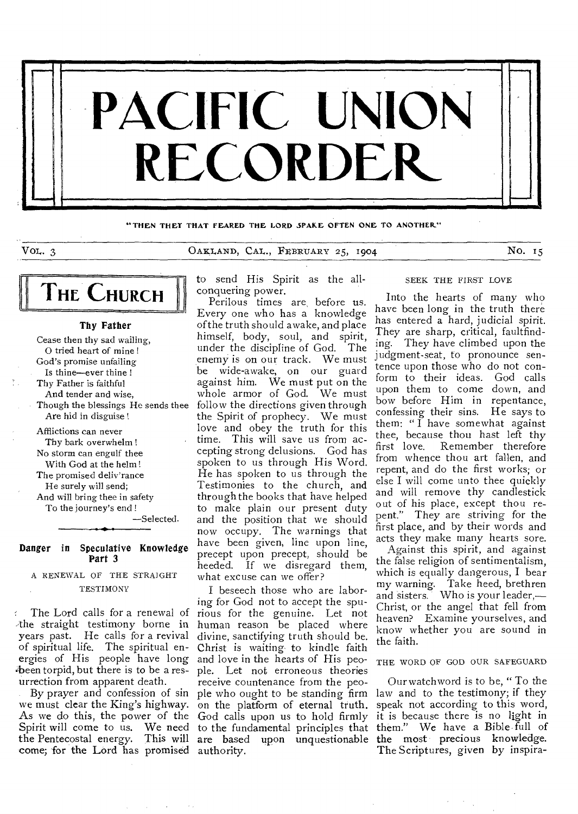

"THEN THEY THAT FEARED THE LORD SPAKE OFTEN ONE TO ANOTHER"

VOL. 3 CAKLAND, CAL., FEBRUARY 25, 1904 NO. 15

**THE CHURCH** 

Thy Father Cease then thy sad wailing, 0 tried heart of mine ! God's promise unfailing Is thine—ever thine ! Thy Father is faithful And tender and wise, Are hid in disguise Afflictions can never Thy bark overwhelm ! No storm can engulf thee With God at the helm ! The promised deliv'rance He surely will send; And will bring thee in safety To the journey's end ! —Selected.

#### Danger in Speculative Knowledge Part 3

## A RENEWAL OF THE STRAIGHT **TESTIMONY**

The Lord calls for a renewal of the straight testimony borne in years past. He calls for a revival of spiritual life. The spiritual energies of His people have long and love in the hearts of His peobeen torpid, but there is to be a resurrection from apparent death.

we must clear the King's highway. on the platform of eternal truth. As we do this, the power of the God calls upon us to hold firmly come; for the Lord has promised authority.

to send His Spirit as the allconquering power.

Though the blessings He sends thee follow the directions given through Perilous times are, before us. Every one who has a knowledge ofthe truth should awake, and place himself, body, soul, and spirit, under the discipline of God. The enemy is on our track. We must be wide-awake, on our guard against him. We must put on the whole armor of God. We must the Spirit of prophecy. We must love and obey the truth for this time. This will save us from accepting strong delusions. God has spoken to us through His Word. He has spoken to us through the Testimonies to the church, and through the books that have helped to make plain our present duty and the position that we should now occupy. The warnings that have been given, line upon line, precept upon precept, should be<br>heeded. If we disregard them. If we disregard them, what excuse can we offer?

By prayer and confession of sin ple who ought to be standing firm I beseech those who are laboring for God not to accept the spurious for the genuine. Let not human reason be placed where divine, sanctifying truth should be. Christ is waiting to kindle faith ple. Let not erroneous theories receive countenance from the peoSEEK THE FIRST LOVE

Into the hearts of many who have been long in the truth there has entered a hard, judicial spirit. They are sharp, critical, faultfinding. They have climbed upon the judgment-seat, to pronounce sentence upon those who do not conform to their ideas. God calls upon them to come down, and bow before Him in repentance, confessing their sins. He says to them: " I have somewhat against thee, because thou hast left thy<br>first love. Remember therefore Remember therefore from whence thou art fallen, and repent, and do the first works; or else I will come unto thee quickly and will remove thy candlestick out of his place, except thou repent." They are striving for the first place, and by their words and acts they make many hearts sore.

Against this spirit, and against the false religion of sentimentalism, which is equally dangerous, I bear my warning. Take heed, brethren and sisters. Who is your leader,-Christ, or the angel that fell from heaven? Examine yourselves, and know whether you are sound in the faith.

THE WORD OF GOD OUR SAFEGUARD

Spirit will come to us. We need to the fundamental principles that them." We have a Bible full of the Pentecostal energy. This will are based upon unquestionable the most precious knowledge. Our watchword is to be, "To the law and to the testimony; if they speak not according to this word, it is because there is no light in The Scriptures, given by inspira-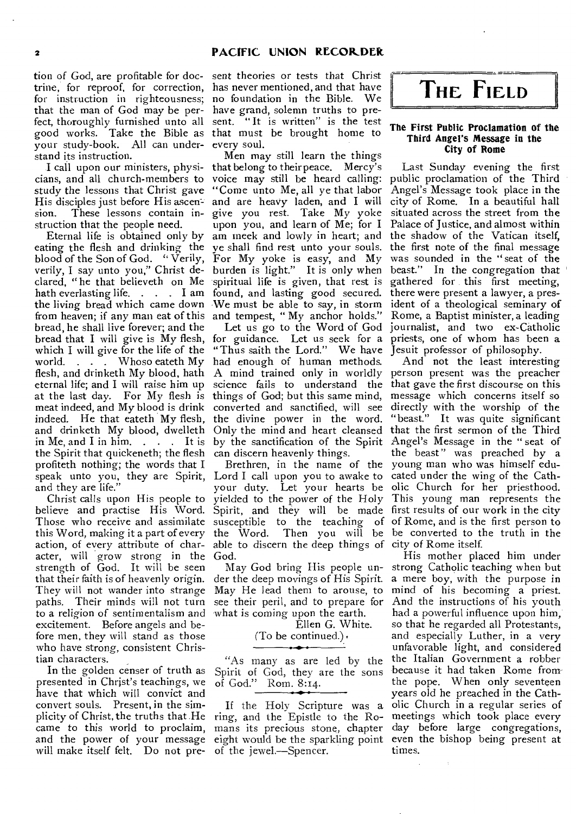trine, for reproof, for correction, has never mentioned, and that have for instruction in righteousness; no foundation in the Bible. We that the man of God may be per-have grand, solemn truths to prefect, thoroughly furnished unto all sent. "It is written" is the test good works. Take the Bible as that must be brought home to your study-book. All can under-every soul. stand its instruction.

cians, and all church-members to study the lessons that Christ gave His disciples just before His ascension. These lessons contain instruction that the people need.

Eternal life is obtained only by eating the flesh and drinking the verily, I say unto you," Christ defrom heaven; if any man eat of this and tempest, " My anchor holds." bread, he shall live forever; and the bread that I will give is My flesh, for guidance. Let us seek for a priests, one of whom has been a world. . . . Whoso eateth My had enough of human methods. flesh, and drinketh My blood, hath A mind trained only in worldly person present was the preacher eternal life; and I will raise him up science fails to understand the that gave the first discourse on this at the last day. For My flesh is meat indeed, and My blood is drink and drinketh My blood, dwelleth Only the mind and heart cleansed that the first sermon of the Third the Spirit that quickeneth; the flesh profiteth nothing; the words that I speak unto you, they are Spirit, and they are life."

Christ calls upon His people to believe and practise His Word. Those who receive and assimilate this Word, making it a part of every action, of every attribute of char-able to discern the deep things of city of Rome itself. acter, will grow strong in the God. strength of God. It will be seen that their faith is of heavenly origin. They will not wander into strange paths. Their minds will not turn to a religion of sentimentalism and what is coming upon the earth. excitement. Before angels and before men, they will stand as those who have strong, consistent Christian characters.

In the golden censer of truth as presented in Christ's teachings, we have that which will convict and convert souls. Present, in the simplicity of Christ, the truths that He came to this world to proclaim, and the power of your message will make itself felt. Do not pre-

tion of God, are profitable for doc-sent theories or tests that Christ

I call upon our ministers, physi- that belong to their peace. Mercy's blood of the Son of God. "Verily, For My yoke is easy, and My clared, "he that believeth on Me spiritual life is given, that rest is gathered for this first meeting, hath everlasting life. . . . I am found, and lasting good secured. there were present a lawyer, a presthe living bread which came down We must be able to say, in storm ident of a theological seminary of Men may still learn the things voice may still be heard calling: public proclamation of the Third "Come unto Me, all ye that labor and are heavy laden, and I will give you rest. Take My yoke upon you, and learn of Me; for I am meek and lowly in heart; and ve shall find rest unto your souls. burden is light." It is only when beast." In the congregation that

which I will give for the life of the "Thus saith the Lord." We have Jesuit professor of philosophy. indeed. He that eateth My flesh, the divine power in the word. in Me, and I in him. . . . It is by the sanctification of the Spirit Angel's Message in the " seat of things of God; but this same mind, converted and sanctified, will see can discern heavenly things.

> Lord I call upon you to awake to cated under the wing of the Cathyour duty. Let your hearts be olic Church for her priesthood. yielded to the power of the Holy Spirit, and they will be made susceptible to the teaching of the Word. Then you will be

May God bring His people under the deep movings of His Spirit. May He lead them to arouse, to see their peril, and to prepare for

Ellen G. White.

(To be continued.).

"As many as are led by the Spirit of God, they are the sons of God." Rom. 8:14.

If the Holy Scripture was a ring, and the Epistle to the Romans its precious stone, chapter of the jewel.—Spencer.

**1 THEFIELD** 

**1 11**

#### **The First Public Proclamation of the Third Angel's Message in the City of Rome**

Let us go to the Word of God journalist, and two ex-Catholic Last Sunday evening the first Angel's Message took place in the city of Rome. In a beautiful hall situated across the street from the Palace of Justice, and almost within the shadow of the Vatican itself, the first note of the final message was sounded in the "seat of the Rome, a Baptist minister, a leading

Brethren, in the name of the young man who was himself edu-And not the least interesting message which concerns itself so directly with the worship of the "beast." It was quite significant the beast" was preached by a This young man represents the first results of our work in the city of Rome, and is the first person to be converted to the truth in the

eight would be the sparkling point even the bishop being present at His mother placed him under strong Catholic teaching when but a mere boy, with the purpose in mind of his becoming a priest. And the instructions of his youth had a powerful influence upon him, so that he regarded all Protestants, and especially Luther, in a very unfavorable light, and considered the Italian Government a robber because it had taken Rome from the pope. When only seventeen years old he preached in the Catholic Church in a regular series of meetings which took place every day before large congregations, times.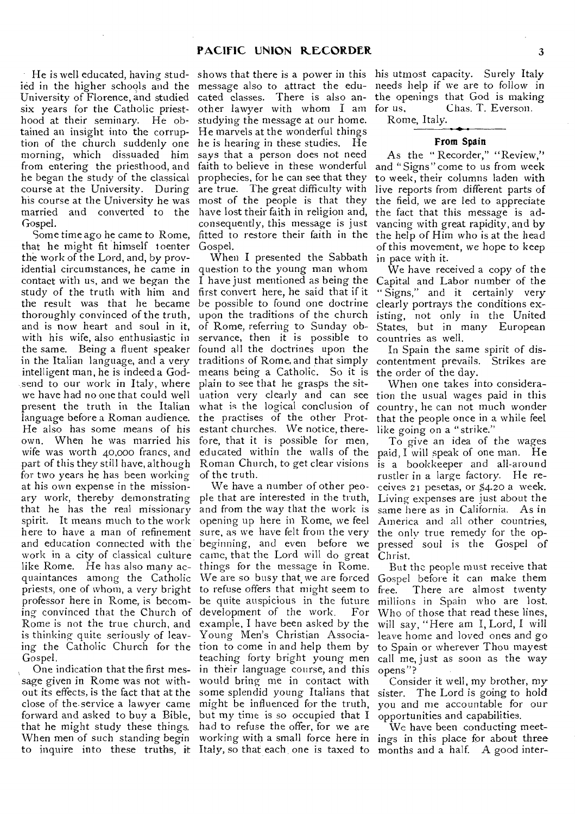ied in the higher schools and the message also to attract the edu- needs help if we are to follow in University of Florence, and studied cated classes. There is also ansix years for the Catholic priest-other lawyer with whom I am hood at their seminary. He ob- studying the message at our home. tained an insight into the corrup-He marvels at the wonderful things tion of the church suddenly one he is hearing in these studies. He morning, which dissuaded him from entering the priesthood, and faith to believe in these wonderful he began the study of the classical prophecies, for he can see that they course at the University. During his course at the University he was married and converted to the have lost their faith in religion and, Gospel.

that he might fit himself toenter the work of the Lord, and, by providential circumstances, he came in question to the young man whom contact with us, and we began the study of the truth with him and the result was that he became thoroughly convinced of the truth, and is now heart and soul in it, with his wife, also enthusiastic in servance, then it is possible to the same. Being a fluent speaker found all the doctrines upon the in the Italian language, and a very traditions of Rome, and that simply intelligent man, he is indeed a Godsend to our work in Italy, where plain to see that he grasps the sitwe have had no one that could well uation very clearly and can see tion the usual wages paid in this present the truth in the Italian what is the logical conclusion of language before a Roman audience. He also has some means of his own. When he was married his wife was worth 40,000 francs, and part of this they still have, although for two years he has been working at his own expense in the missionary work, thereby demonstrating that he has the real missionary spirit. It means much to the work here to have a man of refinement and education connected with the beginning, and even before we work in a city of classical culture like Rome. He has also many acquaintances among the Catholic priests, one of whom, a very bright professor here in Rome, is becoming convinced that the Church of development of the work. For Rome is not the true church, and is thinking quite seriously of leaving the Catholic Church for the tion to come in and help them by to Spain or wherever Thou mayest Gospel.

One indication that the first message given in Rome was not without its effects, is the fact that at the close of the-service a lawyer came forward and asked to buy a Bible, that he might study these things.

Some time ago he came to Rome, fitted to restore their faith in the says that a person does not need are true. The great difficulty with most of the people is that they consequently, this message is just Gospel.

When I presented the Sabbath I have just mentioned as being the first convert here, he said that if it be possible to found one doctrine upon the traditions of the church of Rome, referring to Sunday obmeans being a Catholic. So it is the order of the day. the practises of the other Protestant churches. We notice, therefore, that it is possible for men, educated within the walls of the paid, I will speak of one man. He Roman Church, to get clear visions of the truth.

We have a number of other people that are interested in the truth, and from the way that the work is opening up here in Rome, we feel sure, as we have felt from the very came, that the Lord will do great Christ. things for the message in Rome. We are so busy that we are forced to refuse offers that might seem to be quite auspicious in the future example, I have been asked by the Young Men's Christian Associateaching forty bright young men call me, just as soon as the way in their language course, and this opens"? would bring me in contact with but my time is so occupied that I had to refuse the offer, for we are

He is well educated, having stud- shows that there is a power in this his utmost capacity. Surely Italy the openings that God is making Chas. T. Everson.

> Rome, Italy.  $\overline{\phantom{a}}$

#### From Spain

As the " Recorder," "Review," and "Signs" come to us from week to week, their columns laden with live reports from different parts of the field, we are led to appreciate the fact that this message is advancing with great rapidity, and by the help of Him who is at the head of this movement, we hope to keep in pace with it.

We have received a copy of the Capital and Labor number of the " Signs," and it certainly very clearly portrays the conditions existing, not only in the United States, but in many European countries as well.

In Spain the same spirit of discontentment prevails. Strikes are

When one takes into consideracountry, he can not much wonder that the people once in a while feel like going on a "strike."

To give an idea of the wages is a bookkeeper and all-around rustler in a large factory. He receives 21 pesetas, or \$4.20 a week. Living expenses are just about the same here as in California. As in America and all other countries, the only true remedy for the oppressed soul is the Gospel of

But the people must receive that Gospel before it can make them free. There are almost twenty millions in Spain who are lost, Who of those that read these lines, will say, "Here am I, Lord, I will leave home and loved ones and go

some splendid young Italians that sister. The Lord is going to hold might be influenced for the truth, you and me accountable for our Consider it well, my brother, my opportunities and capabilities.

When men of such standing begin working with a small force here in ings in this place for about three to inquire into these truths, it Italy, so that each one is taxed to months and a half. A good inter-We have been conducting meet-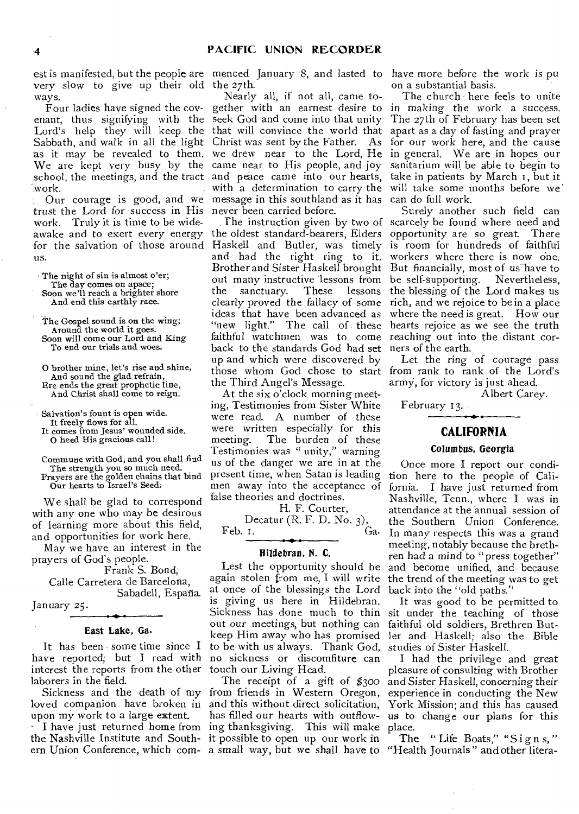est is manifested, but the people are menced January 8, and lasted to very slow to give up their old the 27th. ways.

enant, thus signifying with the Lord's help they will keep the Sabbath, and walk in all the light Christ was sent by the Father. As for our work here, and the cause as it may be revealed to them. we drew near to the Lord, He in general. We are in hopes our We are kept very busy by the came near to His people, and joy school, the meetings, and the tract and peace came into our hearts, take in patients by March 1, but it work.

trust the Lord for success in His work. Truly it is time to be wideawake and to exert every energy the oldest standard-bearers, Elders for the salvation of those around Haskell and Butler, was timely is room for hundreds of faithful us.

The night of sin is almost o'er; The day comes on apace;

- Soon we'll reach a brighter shore And end this earthly race.
- The Gospel sound is on the wing; Around the world it goes. Soon will come our Lord and King To end our trials and woes.

O brother mine, let's rise and shine, And sound the glad refrain, Bre ends the great prophetic line, And Christ shall come to reign.

Salvation's fount is open wide.

It freely flows for all. It comes from Jesus' wounded side.

0 heed His gracious call!

Commune with God, and you shall find The strength you so much need. Prayers are the golden chains that bind Our hearts to Israel's Seed.

We shall be glad to correspond with any one who may be desirous of learning more about this field, and opportunities for work here.

May we have an interest in the prayers of God's people.

Frank S. Bond, Calle Carretera de Barcelona, Sabadell, España.

January 25.

#### East Lake, Ga.

It has been some time since I have reported; but I read with interest the reports from the other laborers in the field.

upon my work to a large extent.

Four ladies have signed the cov-gether with an earnest desire to Our courage is good, and we message in this southland as it has can do full work. Nearly all, if not all, came toseek God and come into that unity that will convince the world that never been carried before.

> the sanctuary. These clearly proved the fallacy of some rich, and we rejoice to be in a place ideas that have been advanced as "new light." The call of these hearts rejoice as we see the truth faithful watchmen was to come reaching out into the distant corback to the standards God had set ners of the earth. up and which were discovered by those whom God chose to start from rank to rank of the Lord's the Third Angel's Message.

At the six o'clock morning meeting, Testimonies from Sister White were read. A number of these were written especially for this meeting. The burden of these Testimonies was " unity," warning us of the danger we are in at the present time, when Satan is leading men away into the acceptance of false theories and doctrines.

H. F. Courter,

Decatur (R. F. D. No. 3), Feb. I. Ga.

#### Hildebran, N. C.

Lest the opportunity should be again stolen from me, I will write at once of the blessings the Lord is giving us here in Hildebran. out our meetings, but nothing can keep Him away who has promised to be with us always. Thank God, no sickness or discomfiture can touch our Living Head.

Sickness and the death of my from friends in Western Oregon, loved companion have broken in and this without direct solicitation, - I have just returned home from ing thanksgiving. This will make the Nashville Institute and South-it possible to open up our work in ern Union Conference, which com- a small way, but we shall have to The receipt of a gift of  $$300$ has filled our hearts with outflow-

have more before the work is pu on a substantial basis.

with a determination to carry the will take some months before we' The church here feels to unite in making the work a success.<br>The 27th of February has been set The 27th of February has been set apart as a day of fasting and prayer sanitarium will be able to begin to

The instruction given by two of scarcely be found where need and and had the right ring to it. workers where there is now One. Brother and Sister Haskell brought But financially, most of us have to out many instructive lessons from be self-supporting. Nevertheless, Surely another such field can opportunity are so great. There lessons the blessing of the Lord makes us where the need is great. How our

> Let the ring of courage pass army, for victory is just ahead.

> > Albert Carey.

# February 13.

## **CALIFORNIA**

#### Columbus, Georgia

Once more I report our condition here to the people of California. I have just returned from Nashville, Tenn., where I was in attendance at the annual session of the Southern Union Conference. In many respects this was a grand meeting, notably because the brethren had a mind to "press together" and become unified, and because the trend of the meeting was to get back into the "old paths."

Sickness has done much to thin sit under the teaching of those It was good to be permitted to faithful old soldiers, Brethren Butler and Haskell; also the Bible studies of Sister Haskell.

> I had the privilege and great pleasure of consulting with Brother and Sister Haskell, concerning their experience in conducting the New York Mission; and this has caused us to change our plans for this place.

> The "Life Boats," "Signs," "Health Journals" and other litera-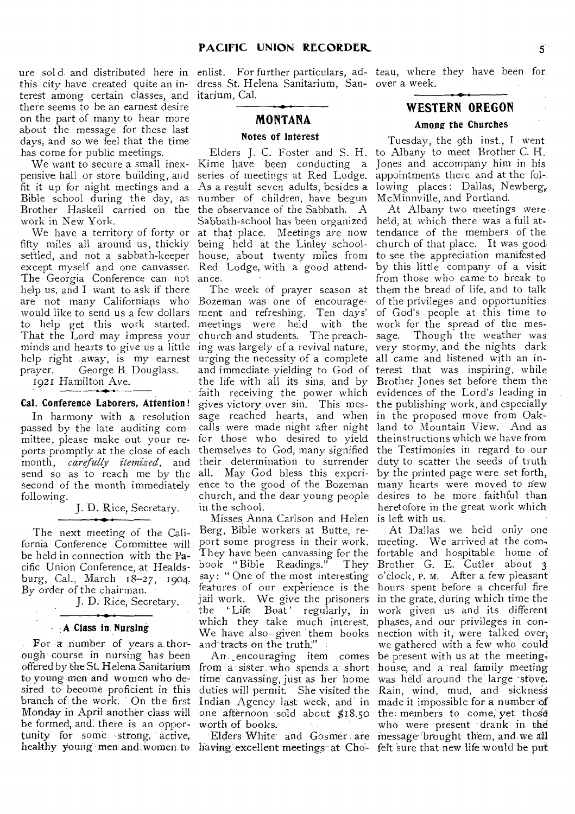this city have created quite an in-dress St. Helena Sanitarium, San-over a week. terest among certain classes, and itarium, Cal. there seems to be an earnest desire on the part of many to hear more about the message for these last days, and so we feel that the time has come for public meetings.

We want to secure a small inexpensive hall or store building, and fit it up for night meetings and a Bible school during the day, as number of children, have begun Brother Haskell carried on the the observance of the Sabbath. A work in New York.

fifty miles all around us, thickly settled, and not a sabbath-keeper except myself and one canvasser. The Georgia Conference can not ance. help us, and I want to ask if there are not many Californians who Bozeman was one of encouragewould like to send us a few dollars to help get this work started. to help get this work started.<br>That the Lord may impress your minds and hearts to give us a little help right away, is my earnest<br>prayer. George B. Douglass. George B. Douglass.

1921 Hamilton Ave.

## Cal. Conference Laborers, Attention !

In harmony with a resolution passed by the late auditing committee, please make out your reports promptly at the close of each month, *carefully itemized,* and send so as to reach me by the second of the month immediately following.

## J. D. Rice, Secretary.

The next meeting of the California Conference Committee will be held in connection with the Pacific Union Conference, at Healdsburg, Cal., March 18-27, 1904: By order of the chairman.

J. D. Rice, Secretary.

#### **A** Class in. Nursing

For a number of years a thorough course in nursing has been offered by the St. Helena Sanitarium to young men and women who desired to become proficient in this branch of the work. On the first Monday in April another class will be formed, and there is an opportunity for some strong, active, healthy young men and women to

## **MONTANA**

## Notes of Interest

We have a territory of forty or at that place. Meetings are now Kime have been conducting a series of meetings at Red Lodge. As a result seven adults, besides a Sabbath-school has been organized being held at the Linley schoolhouse, about twenty miles from Red Lodge, with a good attend-

> ment and refreshing. Ten days' meetings were held with the church and students. The preaching was largely of a revival nature, urging the necessity of a complete and immediate yielding to God of terest that was inspiring, while the life with all its sins, and by faith receiving the power which gives victory over sin. This message reached hearts, and when calls were made night after night for those who desired to yield themselves to God, many signified their determination to surrender all. May God bless this experience to the good of the Bozeman church, and the dear young people in the school.

> Misses Anna Carlson and Helen is left with us. Berg, Bible workers at Butte, report some progress in their work. meeting. We arrived at the com-They have been canvassing for the fortable and hospitable home of book " Bible Readings." They Brother G. E. Cutler about 3 say: " One of the most interesting o'clock, P. M. After a few pleasant features of our experience is the hours spent before a cheerful fire jail work. We give the prisoners in the grate, during which time the the 'Life Boat' regularly, in which they take much interest. phases, and our privileges in con-We have also given them books nection with it, were talked over, and tracts on the truth." :

> An \_encouraging item comes from a sister who spends a short time canvassing, just as her home duties will permit. She visited the Indian Agency last week, and in one afternoon sold about \$18.50 the members to come, yet those worth of books.

ure sold and distributed here in enlist. For further particulars, ad- teau, where they have been for

# **WESTERN OREGON**

## Among the Churches

Elders J. C. Foster and S. H. to Albany to meet Brother C. H. Tuesday, the 9th inst., I went Jones and accompany him in his appointments there and at the following places: Dallas, Newberg, McMinnville, and Portland.

The week of prayer season at them the bread of life, and to talk At Albany two meetings were held, at which there was a full attendance of the members of the church of that place. It was good to see the appreciation manifested by this little company of a visit from those who came to break to of the privileges and opportunities of God's people at this time to work for the spread of the message. Though the weather was very stormy, and the nights dark all came and listened with an in-Brother Jones set before them the evidences of the Lord's leading in the publishing work, and especially in the proposed move from Oakland to Mountain View. And as the instructions which we have from the Testimonies in regard to our duty to scatter the seeds of truth by the printed page were set forth, many hearts were moved to new desires to be more faithful than heretofore in the great work which

Elders White and Gosmer are message brought them, and we all having excellent meetings at Cho- felt sure that new life would be put At Dallas we held only one work given us and its different we gathered with a few who could be present with us at the meetinghouse, and a real family meeting was held around the large stove. Rain, wind, mud, and sickness made it impossible for a number of who were present drank in the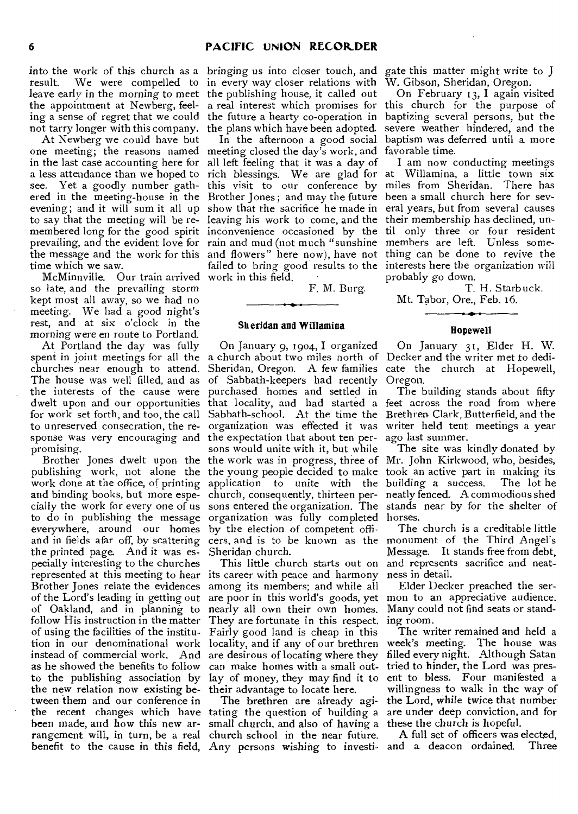the appointment at Newberg, feeling a sense of regret that we could not tarry longer with this company.

At Newberg we could have but one meeting; the reasons named in the last case accounting here for a less attendance than we hoped to see. Yet a goodly number gathered in the meeting-house in the Brother Jones ; and may the future been a small church here for sevevening; and it will sum it all up to say that the meeting will be remembered long for the good spirit inconvenience occasioned by the prevailing, and the evident love for the message and the work for this and flowers" here now), have not time which we saw.

McMinnville. Our train arrived work in this field. so late, and the prevailing storm kept most all away, so we had no meeting. We had a good night's rest, and at six o'clock in the morning were en route to Portland.

At Portland the day was fully spent in joint meetings for all the churches near enough to attend. The house was well filled, and as the interests of the cause were dwelt upon and our opportunities for work set forth, and too, the call to unreserved consecration, the response was very encouraging and promising.

publishing work, not alone the work done at the office, of printing and binding books, but more especially the work for every one of us to do in publishing the message everywhere, around our homes and in fields afar off, by scattering the printed page. And it was especially interesting to the churches represented at this meeting to hear Brother Jones relate the evidences of the Lord's leading in getting out of Oakland, and in planning to follow His instruction in the matter of using the facilities of the institution in our denominational work instead of commercial work. And as he showed the benefits to follow to the publishing association by the new relation now existing between them and our conference in the recent changes which have tating the question of building a been made, and how this new arrangement will, in turn, be a real

into the work of this church as a bringing *us* into closer touch, and result. We were compelled to in every way closer relations with leave early in the morning to meet the publishing house, it called out the future a hearty co-operation in the plans which have been adopted.

> In the afternoon a good social meeting closed the day's work, and all left feeling that it was a day of rich blessings. We are glad for this visit to our conference by show that the sacrifice he made in leaving his work to come, and the rain and mud (not much "sunshine

> > F. M. Burg.

#### **Sheridan and Willamina**

On January 9, 1904, I organized a church about two miles north of Sheridan, Oregon. A few families of Sabbath-keepers had recently purchased homes and settled in that locality, and had started a feet across the road from where Sabbath-school. At the time the organization was effected it was the expectation that about ten persons would unite with it, but while the young people decided to make application to unite with the church, consequently, thirteen perorganization was fully completed by the election of competent officers, and is to be known as the Sheridan church.

This little church starts out on its career with peace and harmony among its members; and while all are poor in this world's goods, yet nearly all own their own homes. They are fortunate in this respect. Fairly good land is cheap in this locality, and if any of our brethren are desirous of locating where they can make homes with a small outlay of money, they may find it to their advantage to locate here.

benefit to the cause in this field, Any persons wishing to investi-The brethren are already agismall church, and also of having a church school in the near future.

gate this matter might write to J W. Gibson, Sheridan, Oregon.

a real interest which promises for this church for the purpose of On February 13, I again visited baptizing several persons, but the severe weather hindered, and the baptism was deferred until a more favorable time.

failed to bring good results to the interests here the organization will I am now conducting meetings at Willamina, a little town six miles from Sheridan. There has eral years, but from several causes their membership has declined, until only three or four resident members are left. Unless something can be done to revive the probably go down.

> T. H. Starbuck. Mt. Tabor, Ore., Feb. i6.

#### **Hopewell**

On January 31, Elder H. W. Decker and the writer met to dedicate the church at Hopewell, Oregon.

The building stands about fifty Brethren Clark, Butterfield, and the writer held tent meetings a year ago last summer.

Brother Jones dwelt upon the the work was in progress, three of Mr. John Kirkwood, who, besides, sons entered the organization. The stands near by for the shelter of The site was kindly donated by took an active part in making its building a success. The lot he neatly fenced. A commodious shed horses.

> The church is a creditable little monument of the Third Angel's Message. It stands free from debt, and represents sacrifice and neatness in detail.

> Elder Decker preached the sermon to an appreciative audience. Many could not find seats or standing room.

> The writer remained and held a week's meeting. The house was filled every night. Although Satan tried to hinder, the Lord was present to bless. Four manifested a willingness to walk in the way of the Lord, while twice that number are under deep conviction, and for these the church is hopeful.

> A full set of officers was elected,<br>d a deacon ordained. Three and a deacon ordained.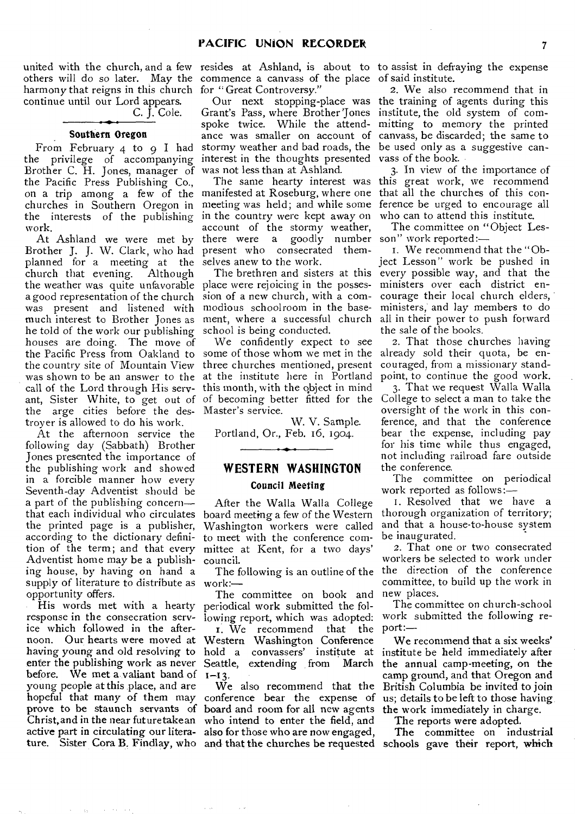united with the church, and a few others will do so later. May the harmony that reigns in this church for " Great Controversy." continue until our Lord appears.

C. *J.* Cole.

#### **Southern Oregon**

•

the privilege of accompanying Brother C. H. Jones, manager of was not less than at Ashland. the Pacific Press Publishing Co., on a trip among a few of the manifested at Roseburg, where one that all the churches of this conchurches in Southern Oregon in the interests of the publishing work.

Brother J. J. W. Clark, who had present who consecrated themplanned for a meeting at the selves anew to the work. church that evening. Although the weather was quite unfavorable place were rejoicing in the possesa good representation of the church sion of a new church, with a comwas present and listened with modious schoolroom in the basehe told of the work our publishing school is being conducted. houses are doing. The move of the Pacific Press from Oakland to some of those whom we met in the the country site of Mountain View three churches mentioned, present was shown to be an answer to the at the institute here in Portland call of the Lord through His serv-this month, with the object in mind ant, Sister White, to get out of of becoming better fitted for the the arge cities before the des-Master's service. troyer is allowed to do his work.

At the afternoon service the following day (Sabbath) Brother Jones presented the importance of the publishing work and showed in a forcible manner how every Seventh-day Adventist should be a part of the publishing concern that each individual who circulates the printed page is a publisher, according to the dictionary defini-Adventist home may be a publishing house, by having on hand a supply of literature to distribute as work: opportunity offers.

His words met with a hearty response in the consecration service which followed in the afternoon. Our hearts were moved at before. We met a valiant band of 1-13. young people at this place, and are

commence a canvass of the place of said institute.

From February 4 to 9 I had stormy weather and bad roads, the be used only as a suggestive can-Grant's Pass, where Brother 'Jones institute, the old system of comspoke twice. While the attendance was smaller on account of interest in the thoughts presented vass of the book.

At Ashland we were met by there were a goodly number in the country were kept away on account of the stormy weather, present who consecrated them-

We confidently expect to see

W. V. Sample. Portland, Or., Feb. 16,1904.

## **WESTERN WASHINGTON**

## **Council Meeting**

tion of the term; and that every mittee at Kent, for a two days' After the Walla Walla College board meeting a few of the Western Washington workers were called to meet with the conference comcouncil.

The following is an outline of the

The committee on book and periodical work submitted the following report, which was adopted:

having young and old resolving to hold a convassers' institute at enter the publishing work as never Seattle, extending from March I. We recommend that the Western Washington Conference

hopeful that many of them may conference bear the expense of prove to be staunch servants of board and room for all new agents Christ,and in the near futuretake an who intend to enter the field, and active part in circulating our litera-also for those who are now engaged, We also recommend that the

resides at Ashland, is about to to assist in defraying the expense

Our next stopping-place was the training of agents during this 2. We also recommend that in mitting to memory the printed canvass, be discarded; the same to

The same hearty interest was this great work, we recommend meeting was held; and while some ference be urged to encourage all 3. In view of the importance of who can to attend this institute.

The committee on "Object Lesson" work reported:—

much interest to Brother Jones as ment, where a successful church all in their power to push forward The brethren and sisters at this every possible way, and that the I. We recommend that the "Object Lesson" work be pushed in ministers over each district encourage their local church elders, ministers, and lay members to do the sale of the books.

2. That those churches having already sold their quota, be encouraged, from a missionary standpoint, to continue the good work.

3. That we request Walla Walla College to select a man to take the oversight of the work in this conference, and that the conference bear the expense, including pay for his time while thus engaged, not including railroad fare outside the conference.

The committee on periodical work reported as follows:—

I. Resolved that we have a thorough organization of territory; and that a house-to-house system be inaugurated.

2. That one or two consecrated workers be selected to work under the direction of the conference committee, to build up the work in new places.

The committee on church-school work submitted the following report:—

We recommend that a six weeks' institute be held immediately after the annual camp-meeting, on the camp ground, and that Oregon and British Columbia be invited to join us; details to be left to those having the work immediately in charge.

The reports were adopted.

ture. Sister Cora B. Findlay, who and that the churches be requested schools gave their report, which The committee on industrial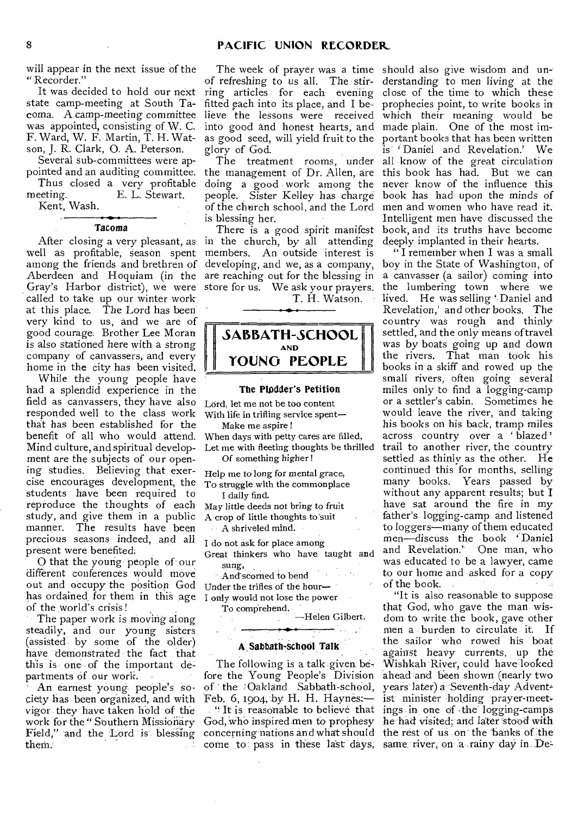will appear in the next issue of the " Recorder."

state camp-meeting at South Tawas appointed, consisting of W. C. F. Ward, W. F. Martin, T. H. Watson, J. R. Clark, 0. A. Peterson.

Several sub-committees were ap-

Thus closed a very profitable meeting. E. L. Stewart. meeting.<br>Kent, Wash.

#### Tacoma

well as profitable, season spent members. An outside interest is among the friends and brethren of developing, and we, as a company, Aberdeen and Hoquiam (in the are reaching out for the blessing in Gray's Harbor district), we were store for us. We ask your prayers. called to take up our winter work at this place. The Lord has been very kind to us, and we are of good courage. Brother Lee Moran is also stationed here with a strong company of canvassers, and every home in the city has been visited.

While the young people have had a splendid experience in the field as canvassers, they have also responded well to the class work that has been established for the benefit of all who would attend. Mind culture, and spiritual development are the subjects of our opening studies. Believing that exercise encourages development, the students have been required to reproduce the thoughts of each study, and give them in a public manner. The results have been precious seasons indeed, and all present were benefited:

0 that the young people of our different conferences would move out and occupy the position God has ordained for them in this age of the world's crisis !

The paper-work is moving along steadily, and our young sisters (assisted by some of the older) have demonstrated the fact that this is one- of the important departments of our work.

An earnest young people's society has been organized, and with vigor they have taken hold of the work for the " Southern Missionary Field," and the Lord is blessing them.

It was decided to hold our next ring articles for each evening close of the time to which these coma. A camp-meeting committee lieve the lessons were received which their meaning would be The week of prayer was a time should also give wisdom and unof refreshing to us all. The stir-derstanding to men living at the fitted each into its place, and  $I$  beinto good and honest hearts, and made plain. One of the most imas good seed, will yield fruit to the portant books that has been written glory of God.

> doing a good work among the people. Sister Kelley has charge is blessing her.

After closing a very pleasant, as in the church, by all attending T. H. Watson.



#### The Plodder's Petition

Lord, let me not be too content With life in trifling service spent—

Make me aspire !

When days with petty cares are filled, Let me with fleeting thoughts be thrilled Of something higher!

Help me to long for mental grace, To struggle with the commonplace I daily find.

May little deeds not bring to fruit A crop of little thoughts to"suit

A shriveled mind.

I do not ask for place among Great thinkers who have taught and sung,

And-scorned to bend Under the trifles of the hour—

I only would not lose the power

-Helen Gilbert.

#### A **Sabbath-School Talk**

The following is a talk given before the Young People's Division of the  $\partial$ akland Sabbath-school, Feb. 6, r9o4, by H. H. Haynes:— God, who inspired men to prophesy concerning• nations and what should come to pass in these last days,

pointed and an auditing committee. the management of Dr. Allen, are this book has had. But we can The treatment rooms, under all know of the great circulation of the church school, and the Lord men and women who have read it. There is a good spirit manifest book, and its truths have become prophecies point, to write books in is 'Daniel and Revelation.' We never know of the influence this book has had upon the *minds* of Intelligent men have discussed the deeply implanted in their hearts.

> " I remember when I was a small boy in the State of Washington, of a canvasser (a sailor) coming into the lumbering town where we lived. He was selling 'Daniel and Revelation,' and other books. The country was rough and thinly settled, and the only means of travel was by boats going up and down the rivers. That man took his books in a skiff and rowed up the small rivers, often going several miles only to find a logging-camp or a settler's cabin. Sometimes he would leave the river, and taking his books on his back, tramp miles across country over a 'blazed' trail to another river, the country settled as thinly as the other. He continued this for months, selling many books. Years passed by without any apparent results; but I have sat around the fire in my father's logging-camp and listened to loggers—many of them educated men—discuss the book `Daniel and Revelation.' One man, who was educated to be a lawyer, came to our home and asked for a copy of the book.

"It is reasonable to believe that ings in one of the logging-camps "It is also reasonable to suppose that God, who gave the man wisdom to write the book, gave other men a burden to circulate it. If the- sailor who rowed his boat against heavy currents, up the Wishkah River, could have looked ahead and been shown (nearly two years later) a Seventh-day Adventist minister •holding prayer-meethe had visited; and later stood with the rest of us on the banks of the same river, on a rainy day in De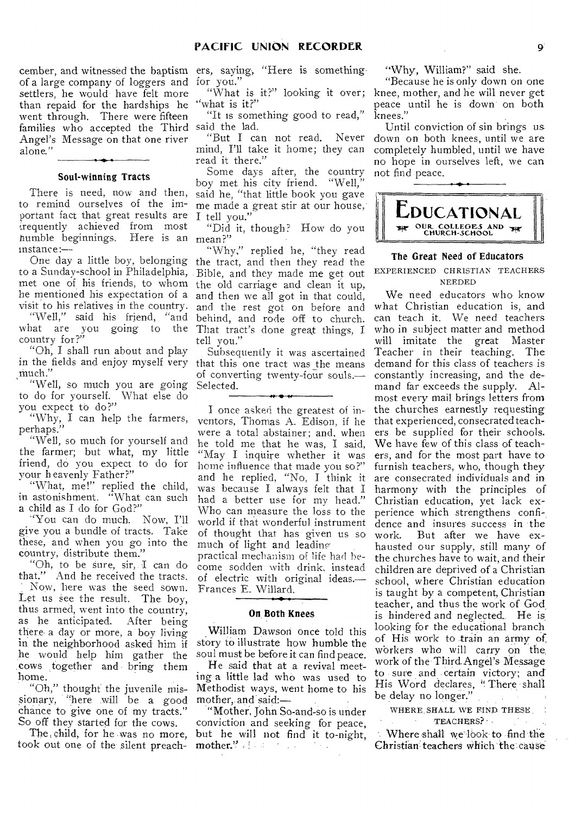cember, and witnessed the baptism of a large company of loggers and settlers, he would have felt more than repaid for the hardships he went through. There were fifteen families who accepted the Third said the lad. Angel's Message on that one river alone."

#### Soul-winning Tracts

to remind ourselves of the important fact that great results are frequently achieved from most humble beginnings. Here is an mean?" instance:—

to a Sunday-school in Philadelphia, Bible, and they made me get out met one of his friends, to whom the old carriage and clean it up, he mentioned his expectation of a and then we all got in that could, visit to his relatives in the country.

what are you going to the That tract's done great things, I country for?"

"Oh, I shall run about and play in the fields and enjoy myself very that this one tract was the means much."

"Well, so much you are going to do for yourself. What else do you expect to do?"

"Why, I can help the farmers, perhaps."

"Well, so much for yourself and the farmer; but what, my little friend, do you expect to do for your h eavenly Father?"

"What, me!" replied the child, in astonishment. "What can such a child as I do for God?"

"You can do much. Now, I'll give you a bundle of tracts. Take these, and when you go into the country, distribute them."

"Oh, to be sure, sir, I can do that." And he received the tracts. Now, here was the seed sown. Let us see the result. The boy, thus armed, went into the country,<br>as he anticipated. After being as he anticipated. there- a day or more, a boy living in the neighborhood asked him if he would help him gather the cows together and bring them home.

"Oh," thought the juvenile missionary, 'here will be a good chance to give one of my tracts." So off they started for the cows.

The child, for he .was no more, took out one of the silent preach-

ers, saying, "Here is somethingfor you."

"What is it?" looking it over; "what is it?"

"It is something good to read,"

"But I can not read. Never mind, I'll take it home; they can read it there."

There is need, now and then, said he, "that little book you gave Some days after, the country boy met his city friend. "Well," me made a great stir at our house, I tell you."

"Did it, though? How do you

One day a little boy, belonging the tract, and then they read the "Well," said his friend, "and behind, and rode off to church. "Why," replied he, "they read and the rest got on before and tell you."

> Subsequently it was ascertained of converting twenty-four souls.— Selected.

I once asked the greatest of inventors, Thomas A. Edison, if he were a total abstainer; and, when he told me that he was, I said, "May I inquire whether it was home influence that made you so?" and he replied, "No, I think it was because I always felt that I had a better use for my head." Who can measure the loss to the world if that wonderful instrument of thought that has given us so much of light and leading practical mechanism of life had be-

come sodden with drink, instead of electric with original ideas.— Frances E. Willard.

#### On Both Knees

William Dawson once told this story to illustrate how humble the soul must be before it can find peace.

He said that at a revival meeting a little lad who was used to Methodist ways, went home to his mother, and said:—

"Mother, John So-and-so is under conviction and seeking for peace, but he will not find it to-night, **mother."** 

"Why, William?" said she.

"Because he is only down on one knee, mother, and he will never get peace until he is down on both knees."

Until conviction of sin brings us, down on both knees, until we are completely humbled, until we have no hope in ourselves left, we can not find peace.



#### The Great Need of Educators

EXPERIENCED CHRISTIAN TEACHERS NEEDED

We need educators who know what Christian education is, and can teach it. We need teachers who in subject matter and method will imitate the great Master Teacher in their teaching. The demand for this class of teachers is constantly increasing, and the demand far exceeds the supply. Almost every mail brings letters from the churches earnestly requesting that experienced, consecrated teachers be supplied for their schools. We have few of this class of teachers, and for the most part have to furnish teachers, who, though they are consecrated individuals and in harmony with the principles of Christian education, yet lack experience which strengthens confidence and insures success in the<br>work. But after we have ex-But after we have exhausted our supply, still many of the churches have to wait, and their children are deprived of a Christian school, where Christian education is taught by a competent, Christian teacher, and thus the work of God, is hindered and neglected. He is looking for the educational branch of His work to train an army of workers who will carry on the work of the Third Angel's Message to sure and certain victory; and His Word declares, "There shall be delay no longer."  $\mathbb{R}^{d \times d}$ 

WHERE SHALL WE FIND THESE TEACHERS?

Where shall we look to find the Christian teachers which the cause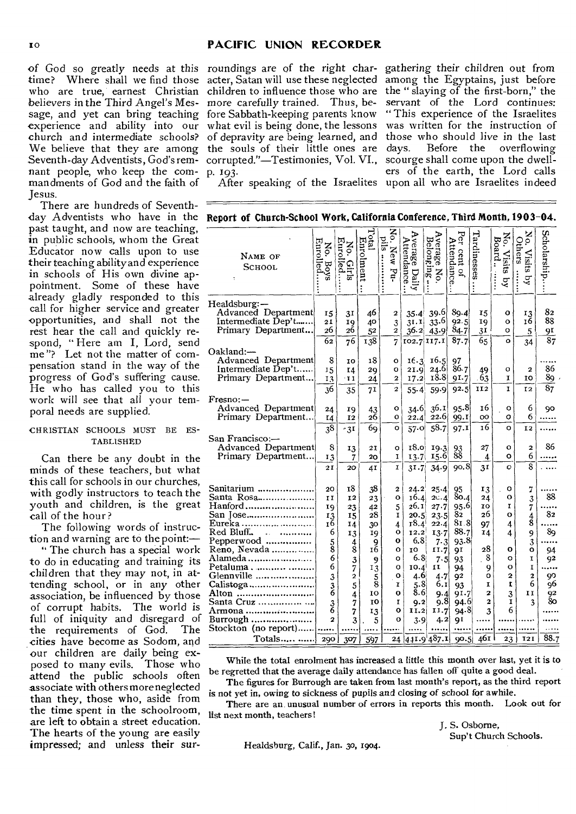## I0 **PACIFIC UNION RECORDER**

who are true, earnest Christian believers in the Third Angel's Message, and yet can bring teaching experience and ability into our church and intermediate schools? Seventh-day Adventists, God's remnant people, who keep the commandments of God and the faith of Jesus.

There are hundreds of Seventhpast taught, and now are teaching, in public schools, whom the Great Educator now calls upon to use their teaching ability and experience in schools of His own divine appointment. Some of these have already gladly responded to this call for higher service and greater opportunities, and shall not the rest hear the call and quickly respond, " Here am I, Lord, send me "? Let not the matter of compensation stand in the way of the progress of God's suffering cause. He who has called you to this work will see that all your temporal needs are supplied.

### CHRISTIAN SCHOOLS MUST BE ES-TABLISHED

Can there be any doubt in the minds of these teachers, but what this call for schools in our churches, with godly instructors to teach the youth and children, is the great call of the hour?

The following words of instruction and warning are to the point: $-$ 

" The church has a special work to do in educating and training its children that they may not, in attending school, or in any other association, be influenced by those of corrupt habits. The world is full of iniquity and disregard of the requirements of God. The cities have become as Sodom, and our children are daily being exposed to many evils. Those who attend the public schools often associate with others more neglected than they, those who, aside from the time spent in the schoolroom, are left to obtain a street education. The hearts of the young are easily impressed; and unless their sur-

of God *so* greatly needs at this roundings are of the right char-gathering their children out from time? Where shall we find those acter, Satan will use these neglected We believe that they are among the souls of their little ones are children to influence those who are more carefully trained. Thus, before Sabbath-keeping parents know what evil is being done, the lessons of depravity are being learned, and corrupted."—Testimonies, Vol. VI., p. 193.

among the Egyptains, just before the " slaying of the first-born," the servant of the Lord continues: " This experience of the Israelites was written for the instruction of those who should live in the last<br>days. Before the overflowing Before the overflowing scourge shall come upon the dwellers of the earth, the Lord calls upon all who are Israelites indeed

After speaking of the Israelites

| No.<br>Total<br>Z<br>Scholarship<br>Per<br>Tardinesses<br>Average Daily<br>Attendance<br>Average No.<br>No. Visits<br>siid<br>Belonging<br>Board<br>؋<br>Enrolment<br>Others<br>No. Girls<br>Enrolled<br>Attendance<br>Enrolled<br><b>No.</b><br>New Pu-<br>cent of<br>Visits by<br>NAME OF<br><br>Boys<br>SCHOOL<br>$\mathbf{z}$<br>Healdsburg:-<br>82<br>Advanced Department<br>39.6<br>89.4<br>46<br>15<br>15<br>31<br>o<br>13<br>16<br>$\overline{2}$<br>$35 - 4$<br>88<br>Intermediate Dep't<br>33.6<br>92.5<br>21<br>19<br>40<br>3<br>19<br>$\Omega$<br>31.I<br>Primary Department<br>26<br>26<br>$\overline{c}$<br>36.2<br>84.7<br>3I <sup>1</sup><br>o<br>91<br>52<br>43.9<br>5<br>$\overline{s_7}$<br>62<br>87.7<br>65<br>76<br>102.7 117.1<br>138<br>$\overline{7}$<br>$\Omega$<br>34<br>$Oakland:$ —<br>8<br>16.5<br><b>Advanced Department</b><br>18<br>16.3<br>97<br>$\circ$<br>10<br>86<br>Intermediate Dep't<br>86.7<br>24.6<br>15<br>21.9<br>o<br>$\overline{a}$<br>I4<br>29<br>o<br>49<br>89<br>18.8<br>63<br>Primary Department<br>17.2<br>91.7<br>I<br>ΙO<br>24<br>$\mathbf 2$<br>13<br>$\cdot$ T I<br>$\overline{s_7}$<br>I<br>36<br>$\overline{a}$<br>92.5<br>II2<br>59.9<br>r <sub>2</sub><br>71<br>$55 - 4$<br>35<br>Fresno:<br>95.8<br><b>Advanced Department</b><br>36.1<br>16<br>6<br>$\circ$<br>34.6<br>o<br>90<br>24<br>19<br>43<br>Primary Department<br>22.6<br>6<br>26<br>oo<br>o<br>O<br>22.4<br>99.I<br>12<br>14<br>58.7<br>$3^{\overline{8}}$<br>16<br>69<br>$57 - 0$<br>97.I<br>o<br>$\Omega$<br>12<br>$-3I$<br>San Francisco:-<br>86<br>Advanced Department<br>18.0<br>8<br>19.3<br>27<br>$\mathbf{o}$<br>$\overline{2}$<br>21<br>o<br>$\begin{smallmatrix} 93 \\ 88 \end{smallmatrix}$<br>13<br>Primary Department<br>15.6<br>6<br>$\mathbf{o}$<br>I.<br>$13 - 7$<br>13<br>$\overline{7}$<br>20<br>4<br>$\overline{\overline{8}}$<br>90.8<br>I<br>31.7<br>34.9<br>3 <sup>T</sup><br>O<br>21<br>20<br>41<br>Sanitarium<br>18<br>38<br>24.2<br>25.4<br>o<br>7<br>20<br>$\mathbf{z}$<br>95<br>13<br>88<br>Santa Rosa<br>80.4<br>3<br>$\mathbf{o}$<br>16.4<br>o<br>II<br>12<br>2C.4<br>24<br>23<br>Hanford<br>26.1<br>95.6<br>I<br>5<br>27.7<br>ΙO<br>7<br>19<br>23<br>42<br>26<br>82<br>San Jose<br>82<br>Ō<br>28<br>20.5<br>$\frac{4}{8}$<br>I<br>23.5<br>13<br>15<br>81.8<br>Eureka ………… <i>…</i> ………<br>16<br>$T8.4^{\circ}$<br>22.4<br>$\overline{\mathbf{4}}$<br>97<br>14<br>30 <sup>o</sup><br>4<br>6<br>88.7<br>9<br>89<br>Red Bluff<br>$12.2^{\frac{1}{2}}$<br>13.7<br>о<br>14<br>4<br>$\ddot{\phantom{a}}$<br>.<br>13<br>19<br>6.8<br>Pepperwood<br>5<br>8<br>6<br>93.8<br>о<br>$7 - 3$<br>3<br>9<br>$\frac{4}{8}$<br>Reno, Nevada<br>16<br>28<br>o<br>10<br>11.7<br>o<br>9I<br>о<br>94<br>6.8<br>8<br>Alameda<br>$\circ$<br>3<br>o<br>93<br>I<br>92<br>$7 - 5$<br>9<br>6<br>Petaluma<br>10.4<br>$\mathbf{o}$<br>7<br>o<br>11<br>I<br>13<br>94<br>9<br>Glennville<br>3<br>2<br>4.6<br>4.7<br>$\overline{z}$<br>2<br>99<br>o<br>Q <sub>2</sub><br>o<br>5<br>6<br>5<br>8<br>$5.8$<br>8.6<br>96<br>6.1<br>r<br>Calistoga<br>$\frac{3}{6}$<br>r<br>93<br>I<br>$\overline{a}$<br>Alton<br>$\mathbf{o}$<br>9.4<br>9I.7<br>3<br>II<br>Q2<br>4<br>10<br>80<br>9.8<br>$\overline{a}$<br>$\mathbf I$<br>3<br>Santa Cruz<br>$\frac{3}{6}$<br>7<br>10<br>r<br>94.6<br>9.2<br>6<br>7<br>3<br>$\mathbf{o}$<br>11.7<br>94.8<br>Armona<br>II.2<br>13<br>Burrough<br>$\overline{a}$<br>3<br>O<br>3.9<br>4.2<br>91<br>5<br>Stockton (no report).<br><br><br>461<br>88.7<br> 44I.9 487.1 <br>Totals<br>90.5<br>23<br>290<br>597 l<br>24<br>121<br>307 |  |  |  |  |  |  |
|-------------------------------------------------------------------------------------------------------------------------------------------------------------------------------------------------------------------------------------------------------------------------------------------------------------------------------------------------------------------------------------------------------------------------------------------------------------------------------------------------------------------------------------------------------------------------------------------------------------------------------------------------------------------------------------------------------------------------------------------------------------------------------------------------------------------------------------------------------------------------------------------------------------------------------------------------------------------------------------------------------------------------------------------------------------------------------------------------------------------------------------------------------------------------------------------------------------------------------------------------------------------------------------------------------------------------------------------------------------------------------------------------------------------------------------------------------------------------------------------------------------------------------------------------------------------------------------------------------------------------------------------------------------------------------------------------------------------------------------------------------------------------------------------------------------------------------------------------------------------------------------------------------------------------------------------------------------------------------------------------------------------------------------------------------------------------------------------------------------------------------------------------------------------------------------------------------------------------------------------------------------------------------------------------------------------------------------------------------------------------------------------------------------------------------------------------------------------------------------------------------------------------------------------------------------------------------------------------------------------------------------------------------------------------------------------------------------------------------------------------------------------------------------------------------------------------------------------------------------------------------------------------------------------------------------------------------------------------------------------------------------------------------------------------------------------------------------------------------------------------------------------------------------------------------------------------------------------------------------------------------------------------------------------------------------------------------------------------------------------------------------------------------------------------------------------------------------------------------------------------------------------------------------------------------------------------------|--|--|--|--|--|--|
|                                                                                                                                                                                                                                                                                                                                                                                                                                                                                                                                                                                                                                                                                                                                                                                                                                                                                                                                                                                                                                                                                                                                                                                                                                                                                                                                                                                                                                                                                                                                                                                                                                                                                                                                                                                                                                                                                                                                                                                                                                                                                                                                                                                                                                                                                                                                                                                                                                                                                                                                                                                                                                                                                                                                                                                                                                                                                                                                                                                                                                                                                                                                                                                                                                                                                                                                                                                                                                                                                                                                                                               |  |  |  |  |  |  |
|                                                                                                                                                                                                                                                                                                                                                                                                                                                                                                                                                                                                                                                                                                                                                                                                                                                                                                                                                                                                                                                                                                                                                                                                                                                                                                                                                                                                                                                                                                                                                                                                                                                                                                                                                                                                                                                                                                                                                                                                                                                                                                                                                                                                                                                                                                                                                                                                                                                                                                                                                                                                                                                                                                                                                                                                                                                                                                                                                                                                                                                                                                                                                                                                                                                                                                                                                                                                                                                                                                                                                                               |  |  |  |  |  |  |
|                                                                                                                                                                                                                                                                                                                                                                                                                                                                                                                                                                                                                                                                                                                                                                                                                                                                                                                                                                                                                                                                                                                                                                                                                                                                                                                                                                                                                                                                                                                                                                                                                                                                                                                                                                                                                                                                                                                                                                                                                                                                                                                                                                                                                                                                                                                                                                                                                                                                                                                                                                                                                                                                                                                                                                                                                                                                                                                                                                                                                                                                                                                                                                                                                                                                                                                                                                                                                                                                                                                                                                               |  |  |  |  |  |  |
|                                                                                                                                                                                                                                                                                                                                                                                                                                                                                                                                                                                                                                                                                                                                                                                                                                                                                                                                                                                                                                                                                                                                                                                                                                                                                                                                                                                                                                                                                                                                                                                                                                                                                                                                                                                                                                                                                                                                                                                                                                                                                                                                                                                                                                                                                                                                                                                                                                                                                                                                                                                                                                                                                                                                                                                                                                                                                                                                                                                                                                                                                                                                                                                                                                                                                                                                                                                                                                                                                                                                                                               |  |  |  |  |  |  |
|                                                                                                                                                                                                                                                                                                                                                                                                                                                                                                                                                                                                                                                                                                                                                                                                                                                                                                                                                                                                                                                                                                                                                                                                                                                                                                                                                                                                                                                                                                                                                                                                                                                                                                                                                                                                                                                                                                                                                                                                                                                                                                                                                                                                                                                                                                                                                                                                                                                                                                                                                                                                                                                                                                                                                                                                                                                                                                                                                                                                                                                                                                                                                                                                                                                                                                                                                                                                                                                                                                                                                                               |  |  |  |  |  |  |
|                                                                                                                                                                                                                                                                                                                                                                                                                                                                                                                                                                                                                                                                                                                                                                                                                                                                                                                                                                                                                                                                                                                                                                                                                                                                                                                                                                                                                                                                                                                                                                                                                                                                                                                                                                                                                                                                                                                                                                                                                                                                                                                                                                                                                                                                                                                                                                                                                                                                                                                                                                                                                                                                                                                                                                                                                                                                                                                                                                                                                                                                                                                                                                                                                                                                                                                                                                                                                                                                                                                                                                               |  |  |  |  |  |  |
|                                                                                                                                                                                                                                                                                                                                                                                                                                                                                                                                                                                                                                                                                                                                                                                                                                                                                                                                                                                                                                                                                                                                                                                                                                                                                                                                                                                                                                                                                                                                                                                                                                                                                                                                                                                                                                                                                                                                                                                                                                                                                                                                                                                                                                                                                                                                                                                                                                                                                                                                                                                                                                                                                                                                                                                                                                                                                                                                                                                                                                                                                                                                                                                                                                                                                                                                                                                                                                                                                                                                                                               |  |  |  |  |  |  |
|                                                                                                                                                                                                                                                                                                                                                                                                                                                                                                                                                                                                                                                                                                                                                                                                                                                                                                                                                                                                                                                                                                                                                                                                                                                                                                                                                                                                                                                                                                                                                                                                                                                                                                                                                                                                                                                                                                                                                                                                                                                                                                                                                                                                                                                                                                                                                                                                                                                                                                                                                                                                                                                                                                                                                                                                                                                                                                                                                                                                                                                                                                                                                                                                                                                                                                                                                                                                                                                                                                                                                                               |  |  |  |  |  |  |
|                                                                                                                                                                                                                                                                                                                                                                                                                                                                                                                                                                                                                                                                                                                                                                                                                                                                                                                                                                                                                                                                                                                                                                                                                                                                                                                                                                                                                                                                                                                                                                                                                                                                                                                                                                                                                                                                                                                                                                                                                                                                                                                                                                                                                                                                                                                                                                                                                                                                                                                                                                                                                                                                                                                                                                                                                                                                                                                                                                                                                                                                                                                                                                                                                                                                                                                                                                                                                                                                                                                                                                               |  |  |  |  |  |  |
|                                                                                                                                                                                                                                                                                                                                                                                                                                                                                                                                                                                                                                                                                                                                                                                                                                                                                                                                                                                                                                                                                                                                                                                                                                                                                                                                                                                                                                                                                                                                                                                                                                                                                                                                                                                                                                                                                                                                                                                                                                                                                                                                                                                                                                                                                                                                                                                                                                                                                                                                                                                                                                                                                                                                                                                                                                                                                                                                                                                                                                                                                                                                                                                                                                                                                                                                                                                                                                                                                                                                                                               |  |  |  |  |  |  |
|                                                                                                                                                                                                                                                                                                                                                                                                                                                                                                                                                                                                                                                                                                                                                                                                                                                                                                                                                                                                                                                                                                                                                                                                                                                                                                                                                                                                                                                                                                                                                                                                                                                                                                                                                                                                                                                                                                                                                                                                                                                                                                                                                                                                                                                                                                                                                                                                                                                                                                                                                                                                                                                                                                                                                                                                                                                                                                                                                                                                                                                                                                                                                                                                                                                                                                                                                                                                                                                                                                                                                                               |  |  |  |  |  |  |
|                                                                                                                                                                                                                                                                                                                                                                                                                                                                                                                                                                                                                                                                                                                                                                                                                                                                                                                                                                                                                                                                                                                                                                                                                                                                                                                                                                                                                                                                                                                                                                                                                                                                                                                                                                                                                                                                                                                                                                                                                                                                                                                                                                                                                                                                                                                                                                                                                                                                                                                                                                                                                                                                                                                                                                                                                                                                                                                                                                                                                                                                                                                                                                                                                                                                                                                                                                                                                                                                                                                                                                               |  |  |  |  |  |  |
|                                                                                                                                                                                                                                                                                                                                                                                                                                                                                                                                                                                                                                                                                                                                                                                                                                                                                                                                                                                                                                                                                                                                                                                                                                                                                                                                                                                                                                                                                                                                                                                                                                                                                                                                                                                                                                                                                                                                                                                                                                                                                                                                                                                                                                                                                                                                                                                                                                                                                                                                                                                                                                                                                                                                                                                                                                                                                                                                                                                                                                                                                                                                                                                                                                                                                                                                                                                                                                                                                                                                                                               |  |  |  |  |  |  |
|                                                                                                                                                                                                                                                                                                                                                                                                                                                                                                                                                                                                                                                                                                                                                                                                                                                                                                                                                                                                                                                                                                                                                                                                                                                                                                                                                                                                                                                                                                                                                                                                                                                                                                                                                                                                                                                                                                                                                                                                                                                                                                                                                                                                                                                                                                                                                                                                                                                                                                                                                                                                                                                                                                                                                                                                                                                                                                                                                                                                                                                                                                                                                                                                                                                                                                                                                                                                                                                                                                                                                                               |  |  |  |  |  |  |
|                                                                                                                                                                                                                                                                                                                                                                                                                                                                                                                                                                                                                                                                                                                                                                                                                                                                                                                                                                                                                                                                                                                                                                                                                                                                                                                                                                                                                                                                                                                                                                                                                                                                                                                                                                                                                                                                                                                                                                                                                                                                                                                                                                                                                                                                                                                                                                                                                                                                                                                                                                                                                                                                                                                                                                                                                                                                                                                                                                                                                                                                                                                                                                                                                                                                                                                                                                                                                                                                                                                                                                               |  |  |  |  |  |  |
|                                                                                                                                                                                                                                                                                                                                                                                                                                                                                                                                                                                                                                                                                                                                                                                                                                                                                                                                                                                                                                                                                                                                                                                                                                                                                                                                                                                                                                                                                                                                                                                                                                                                                                                                                                                                                                                                                                                                                                                                                                                                                                                                                                                                                                                                                                                                                                                                                                                                                                                                                                                                                                                                                                                                                                                                                                                                                                                                                                                                                                                                                                                                                                                                                                                                                                                                                                                                                                                                                                                                                                               |  |  |  |  |  |  |
|                                                                                                                                                                                                                                                                                                                                                                                                                                                                                                                                                                                                                                                                                                                                                                                                                                                                                                                                                                                                                                                                                                                                                                                                                                                                                                                                                                                                                                                                                                                                                                                                                                                                                                                                                                                                                                                                                                                                                                                                                                                                                                                                                                                                                                                                                                                                                                                                                                                                                                                                                                                                                                                                                                                                                                                                                                                                                                                                                                                                                                                                                                                                                                                                                                                                                                                                                                                                                                                                                                                                                                               |  |  |  |  |  |  |
|                                                                                                                                                                                                                                                                                                                                                                                                                                                                                                                                                                                                                                                                                                                                                                                                                                                                                                                                                                                                                                                                                                                                                                                                                                                                                                                                                                                                                                                                                                                                                                                                                                                                                                                                                                                                                                                                                                                                                                                                                                                                                                                                                                                                                                                                                                                                                                                                                                                                                                                                                                                                                                                                                                                                                                                                                                                                                                                                                                                                                                                                                                                                                                                                                                                                                                                                                                                                                                                                                                                                                                               |  |  |  |  |  |  |
|                                                                                                                                                                                                                                                                                                                                                                                                                                                                                                                                                                                                                                                                                                                                                                                                                                                                                                                                                                                                                                                                                                                                                                                                                                                                                                                                                                                                                                                                                                                                                                                                                                                                                                                                                                                                                                                                                                                                                                                                                                                                                                                                                                                                                                                                                                                                                                                                                                                                                                                                                                                                                                                                                                                                                                                                                                                                                                                                                                                                                                                                                                                                                                                                                                                                                                                                                                                                                                                                                                                                                                               |  |  |  |  |  |  |
|                                                                                                                                                                                                                                                                                                                                                                                                                                                                                                                                                                                                                                                                                                                                                                                                                                                                                                                                                                                                                                                                                                                                                                                                                                                                                                                                                                                                                                                                                                                                                                                                                                                                                                                                                                                                                                                                                                                                                                                                                                                                                                                                                                                                                                                                                                                                                                                                                                                                                                                                                                                                                                                                                                                                                                                                                                                                                                                                                                                                                                                                                                                                                                                                                                                                                                                                                                                                                                                                                                                                                                               |  |  |  |  |  |  |
|                                                                                                                                                                                                                                                                                                                                                                                                                                                                                                                                                                                                                                                                                                                                                                                                                                                                                                                                                                                                                                                                                                                                                                                                                                                                                                                                                                                                                                                                                                                                                                                                                                                                                                                                                                                                                                                                                                                                                                                                                                                                                                                                                                                                                                                                                                                                                                                                                                                                                                                                                                                                                                                                                                                                                                                                                                                                                                                                                                                                                                                                                                                                                                                                                                                                                                                                                                                                                                                                                                                                                                               |  |  |  |  |  |  |
|                                                                                                                                                                                                                                                                                                                                                                                                                                                                                                                                                                                                                                                                                                                                                                                                                                                                                                                                                                                                                                                                                                                                                                                                                                                                                                                                                                                                                                                                                                                                                                                                                                                                                                                                                                                                                                                                                                                                                                                                                                                                                                                                                                                                                                                                                                                                                                                                                                                                                                                                                                                                                                                                                                                                                                                                                                                                                                                                                                                                                                                                                                                                                                                                                                                                                                                                                                                                                                                                                                                                                                               |  |  |  |  |  |  |
|                                                                                                                                                                                                                                                                                                                                                                                                                                                                                                                                                                                                                                                                                                                                                                                                                                                                                                                                                                                                                                                                                                                                                                                                                                                                                                                                                                                                                                                                                                                                                                                                                                                                                                                                                                                                                                                                                                                                                                                                                                                                                                                                                                                                                                                                                                                                                                                                                                                                                                                                                                                                                                                                                                                                                                                                                                                                                                                                                                                                                                                                                                                                                                                                                                                                                                                                                                                                                                                                                                                                                                               |  |  |  |  |  |  |
|                                                                                                                                                                                                                                                                                                                                                                                                                                                                                                                                                                                                                                                                                                                                                                                                                                                                                                                                                                                                                                                                                                                                                                                                                                                                                                                                                                                                                                                                                                                                                                                                                                                                                                                                                                                                                                                                                                                                                                                                                                                                                                                                                                                                                                                                                                                                                                                                                                                                                                                                                                                                                                                                                                                                                                                                                                                                                                                                                                                                                                                                                                                                                                                                                                                                                                                                                                                                                                                                                                                                                                               |  |  |  |  |  |  |
|                                                                                                                                                                                                                                                                                                                                                                                                                                                                                                                                                                                                                                                                                                                                                                                                                                                                                                                                                                                                                                                                                                                                                                                                                                                                                                                                                                                                                                                                                                                                                                                                                                                                                                                                                                                                                                                                                                                                                                                                                                                                                                                                                                                                                                                                                                                                                                                                                                                                                                                                                                                                                                                                                                                                                                                                                                                                                                                                                                                                                                                                                                                                                                                                                                                                                                                                                                                                                                                                                                                                                                               |  |  |  |  |  |  |
|                                                                                                                                                                                                                                                                                                                                                                                                                                                                                                                                                                                                                                                                                                                                                                                                                                                                                                                                                                                                                                                                                                                                                                                                                                                                                                                                                                                                                                                                                                                                                                                                                                                                                                                                                                                                                                                                                                                                                                                                                                                                                                                                                                                                                                                                                                                                                                                                                                                                                                                                                                                                                                                                                                                                                                                                                                                                                                                                                                                                                                                                                                                                                                                                                                                                                                                                                                                                                                                                                                                                                                               |  |  |  |  |  |  |
|                                                                                                                                                                                                                                                                                                                                                                                                                                                                                                                                                                                                                                                                                                                                                                                                                                                                                                                                                                                                                                                                                                                                                                                                                                                                                                                                                                                                                                                                                                                                                                                                                                                                                                                                                                                                                                                                                                                                                                                                                                                                                                                                                                                                                                                                                                                                                                                                                                                                                                                                                                                                                                                                                                                                                                                                                                                                                                                                                                                                                                                                                                                                                                                                                                                                                                                                                                                                                                                                                                                                                                               |  |  |  |  |  |  |
|                                                                                                                                                                                                                                                                                                                                                                                                                                                                                                                                                                                                                                                                                                                                                                                                                                                                                                                                                                                                                                                                                                                                                                                                                                                                                                                                                                                                                                                                                                                                                                                                                                                                                                                                                                                                                                                                                                                                                                                                                                                                                                                                                                                                                                                                                                                                                                                                                                                                                                                                                                                                                                                                                                                                                                                                                                                                                                                                                                                                                                                                                                                                                                                                                                                                                                                                                                                                                                                                                                                                                                               |  |  |  |  |  |  |
|                                                                                                                                                                                                                                                                                                                                                                                                                                                                                                                                                                                                                                                                                                                                                                                                                                                                                                                                                                                                                                                                                                                                                                                                                                                                                                                                                                                                                                                                                                                                                                                                                                                                                                                                                                                                                                                                                                                                                                                                                                                                                                                                                                                                                                                                                                                                                                                                                                                                                                                                                                                                                                                                                                                                                                                                                                                                                                                                                                                                                                                                                                                                                                                                                                                                                                                                                                                                                                                                                                                                                                               |  |  |  |  |  |  |
|                                                                                                                                                                                                                                                                                                                                                                                                                                                                                                                                                                                                                                                                                                                                                                                                                                                                                                                                                                                                                                                                                                                                                                                                                                                                                                                                                                                                                                                                                                                                                                                                                                                                                                                                                                                                                                                                                                                                                                                                                                                                                                                                                                                                                                                                                                                                                                                                                                                                                                                                                                                                                                                                                                                                                                                                                                                                                                                                                                                                                                                                                                                                                                                                                                                                                                                                                                                                                                                                                                                                                                               |  |  |  |  |  |  |
|                                                                                                                                                                                                                                                                                                                                                                                                                                                                                                                                                                                                                                                                                                                                                                                                                                                                                                                                                                                                                                                                                                                                                                                                                                                                                                                                                                                                                                                                                                                                                                                                                                                                                                                                                                                                                                                                                                                                                                                                                                                                                                                                                                                                                                                                                                                                                                                                                                                                                                                                                                                                                                                                                                                                                                                                                                                                                                                                                                                                                                                                                                                                                                                                                                                                                                                                                                                                                                                                                                                                                                               |  |  |  |  |  |  |
|                                                                                                                                                                                                                                                                                                                                                                                                                                                                                                                                                                                                                                                                                                                                                                                                                                                                                                                                                                                                                                                                                                                                                                                                                                                                                                                                                                                                                                                                                                                                                                                                                                                                                                                                                                                                                                                                                                                                                                                                                                                                                                                                                                                                                                                                                                                                                                                                                                                                                                                                                                                                                                                                                                                                                                                                                                                                                                                                                                                                                                                                                                                                                                                                                                                                                                                                                                                                                                                                                                                                                                               |  |  |  |  |  |  |
|                                                                                                                                                                                                                                                                                                                                                                                                                                                                                                                                                                                                                                                                                                                                                                                                                                                                                                                                                                                                                                                                                                                                                                                                                                                                                                                                                                                                                                                                                                                                                                                                                                                                                                                                                                                                                                                                                                                                                                                                                                                                                                                                                                                                                                                                                                                                                                                                                                                                                                                                                                                                                                                                                                                                                                                                                                                                                                                                                                                                                                                                                                                                                                                                                                                                                                                                                                                                                                                                                                                                                                               |  |  |  |  |  |  |
|                                                                                                                                                                                                                                                                                                                                                                                                                                                                                                                                                                                                                                                                                                                                                                                                                                                                                                                                                                                                                                                                                                                                                                                                                                                                                                                                                                                                                                                                                                                                                                                                                                                                                                                                                                                                                                                                                                                                                                                                                                                                                                                                                                                                                                                                                                                                                                                                                                                                                                                                                                                                                                                                                                                                                                                                                                                                                                                                                                                                                                                                                                                                                                                                                                                                                                                                                                                                                                                                                                                                                                               |  |  |  |  |  |  |
|                                                                                                                                                                                                                                                                                                                                                                                                                                                                                                                                                                                                                                                                                                                                                                                                                                                                                                                                                                                                                                                                                                                                                                                                                                                                                                                                                                                                                                                                                                                                                                                                                                                                                                                                                                                                                                                                                                                                                                                                                                                                                                                                                                                                                                                                                                                                                                                                                                                                                                                                                                                                                                                                                                                                                                                                                                                                                                                                                                                                                                                                                                                                                                                                                                                                                                                                                                                                                                                                                                                                                                               |  |  |  |  |  |  |
|                                                                                                                                                                                                                                                                                                                                                                                                                                                                                                                                                                                                                                                                                                                                                                                                                                                                                                                                                                                                                                                                                                                                                                                                                                                                                                                                                                                                                                                                                                                                                                                                                                                                                                                                                                                                                                                                                                                                                                                                                                                                                                                                                                                                                                                                                                                                                                                                                                                                                                                                                                                                                                                                                                                                                                                                                                                                                                                                                                                                                                                                                                                                                                                                                                                                                                                                                                                                                                                                                                                                                                               |  |  |  |  |  |  |
|                                                                                                                                                                                                                                                                                                                                                                                                                                                                                                                                                                                                                                                                                                                                                                                                                                                                                                                                                                                                                                                                                                                                                                                                                                                                                                                                                                                                                                                                                                                                                                                                                                                                                                                                                                                                                                                                                                                                                                                                                                                                                                                                                                                                                                                                                                                                                                                                                                                                                                                                                                                                                                                                                                                                                                                                                                                                                                                                                                                                                                                                                                                                                                                                                                                                                                                                                                                                                                                                                                                                                                               |  |  |  |  |  |  |

day Adventists who have in the Report of Church-School Work, California Conference, Third Month, 1903-04.

While the total enrolment has increased a little this month over last, yet it is to be regretted that the average daily attendance has fallen off quite a good deal.

The figures for Burrough are taken from last month's report, as the third report is not yet in, owing to sickness of pupils and closing of school for awhile.

There are an unusual number of errors in reports this month. Look out for list next month, teachers!

J. S. Osborne,

Healdsburg, Calif., Jan. 30, 1904.

Sup't Church Schools.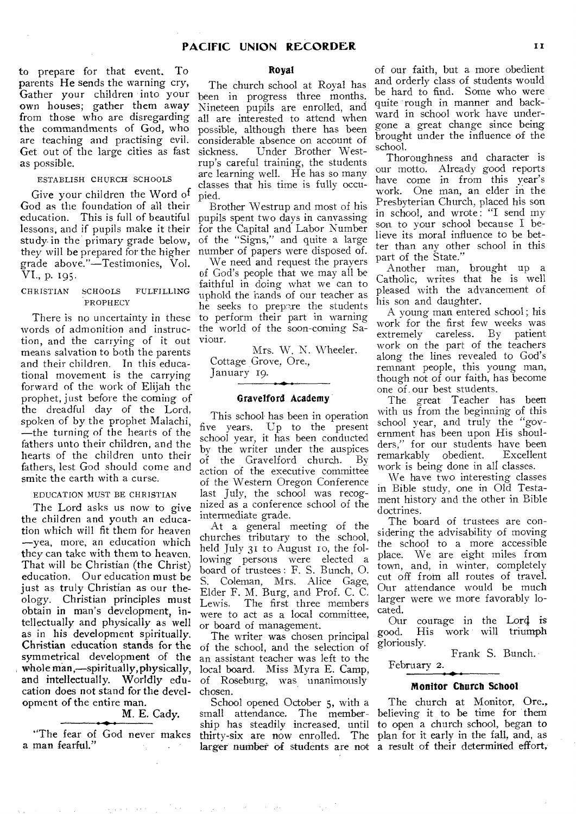to prepare for that event. To parents He sends the warning cry, Gather your children into your own houses; gather them away from those who are disregarding the commandments of God, who are teaching and practising evil. Get out of the large cities as fast as possible.

 $\bar{z}$ 

#### ESTABLISH CHURCH SCHOOLS

Give your children the Word of God as the foundation of all their education. This is full of beautiful lessons, and if pupils make it their study. in the' primary grade below, they will be prepared for the higher grade above."—Testimonies, Vol. VI., p. 195.

#### CHRISTIAN SCHOOLS FULFILLING PROPHECY

There is no uncertainty in these words of admonition and instruction, and the carrying of it out means salvation to both the parents and their children. In this educational movement is the carrying forward of the work of Elijah the prophet, just before the coming of the dreadful day of the Lord, spoken of by the prophet Malachi, —the turning of the hearts of the fathers unto their children, and the hearts of the children unto their fathers, lest God should come and smite the earth with a curse.

### EDUCATION MUST BE CHRISTIAN

The Lord asks us now to give the children and youth an education which will fit them for heaven —yea, more, an education which they can take with them to heaven. That will be Christian (the Christ) education. Our education must be just as truly Christian as our theology. Christian principles must obtain in man's development, intellectually and physically as well as in his development spiritually. Christian education stands for the symmetrical development of the whole man,—spiritually, physically, and intellectually. Worldly education does not stand for the development of the entire man.

## M. E. Cady.

"The fear of God never makes a man fearful."

#### **Royal**

The church school at Royal has been in progress three months. Nineteen pupils are enrolled, and all are interested to attend when possible, although there has been considerable absence on account of sickness. Under Brother Westrup's careful training, the students are learning well. He has so many classes that his time is fully occupied.

Brother Westrup and most of his pupils spent two days in canvassing for the Capital and Labor Number of the "Signs," and quite a large number of papers were disposed of.

We need and request the prayers of God's people that we may all be faithful in doing what we can to uphold the hands of our teacher as he seeks to prepare the students to perform their part in warning the world of the soon-coming Saviour.

Mrs. W. N. Wheeler. Cottage Grove, Ore., January 19.

#### **Gravelford Academy**

This school has been in operation five years. Up to the present school year, it has been conducted by the writer under the auspices of the Gravelford church. By action of the executive committee of the Western Oregon Conference last July, the school was recognized as a conference school of the intermediate grade.

At a general meeting of the churches tributary to the school, held July 31 to August 1o, the following persons were elected a board of trustees : F. S. Bunch, 0. S. Coleman, Mrs. Alice Gage, Elder F. M. Burg, and Prof. C. C. The first three members were to act as a local committee, or board of management.

The writer was chosen principal of the school, and the selection of an assistant teacher was left to the local board. Miss Myra E. Camp, of Roseburg, was unanimously chosen.

School opened October 5, with a small attendance. The membership has steadily increased, until thirty-six are now enrolled. The

of our faith, but a more obedient and orderly class of students would be hard to find. Some who were quite 'rough in manner and backward in school work have undergone a great change since being brought under the influence of the school.

Thoroughness and character is our motto. Already good reports have come in from this year's work. One man, an elder in the Presbyterian Church, placed his son in school, and wrote: "I send my son to your school because I believe its moral influence to be better than any other school in this part of the State."

Another man, brought up a Catholic, writes that he is well pleased with the advancement of his son and daughter.

A young man entered school; his work for the first few weeks was extremely careless. By patient work on the part of the teachers along the lines revealed to God's remnant people, this young man, though not of our faith, has become one of. our best students.

The great Teacher has been with us from the beginning of this school year, and truly the "government has been upon His shoulders," for our students have been remarkably obedient. Excellent work is being done in all classes.

We have two interesting classes in Bible study, one in Old Testament history and the other in Bible doctrines.

The board of trustees are considering the advisability of moving the school to a more accessible place. We are eight miles from town, and, in winter, completely cut off from all routes of travel. Our attendance would be much larger were we more favorably located.

Our courage in the Lord is<br>good. His work will triumph His work will triumph gloriously.

Frank S. Bunch.

February 2.

#### **Monitor Church School**

larger number of students are not a result of their determined effort, The church at Monitor, Ore., believing it to be time for them to open a church school, began to plan for it early in the fall, and, as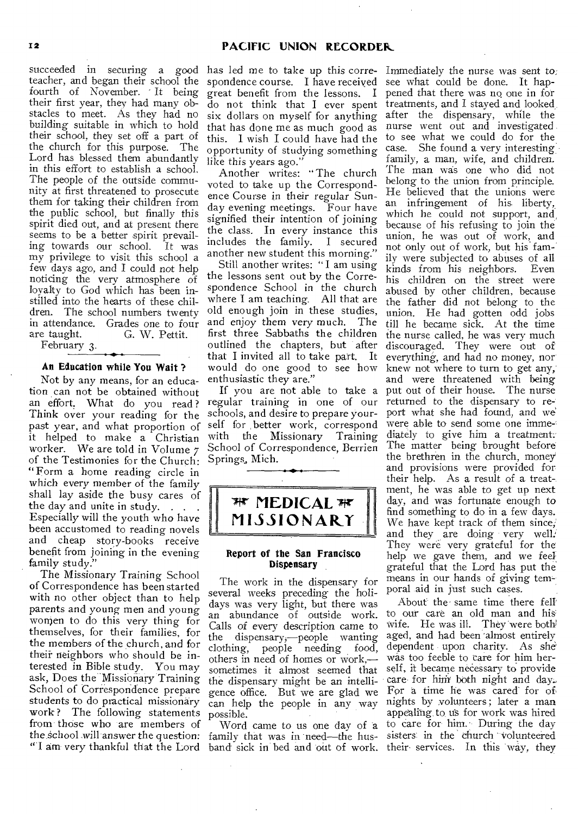teacher, and began their school the fourth of November. It being their first year, they had many obstacles to meet. As they had no building suitable in which to hold their school, they set off a part of the church for this purpose. The Lord has blessed them abundantly in this effort to establish a school. The people of the outside community at first threatened to prosecute them for taking their children from the public school, but finally this spirit died out, and at present there seems to be a better spirit prevailing towards our school. It was my privilege to visit this school a few days ago, and I could not help noticing the very atmosphere of loyalty to God which has been instilled into the hearts of these children. The school numbers twenty in attendance. Grades one to four<br>are taught. G. W. Pettit. G. W. Pettit.

February 3.

## $\ddot{\phantom{0}}$ **An Education while You Wait ?**

Not by any means, for an education can not be obtained without an effort. What do you read ? Think over your reading for the past year, and what proportion of it helped to make a Christian worker. We are told in Volume 7 of the Testimonies for the Church: "Form a home reading circle in which every member of the family shall lay aside the busy cares of the day and unite in study.  $\ldots$ . Especially will the youth who have been accustomed to reading novels and cheap story-books receive benefit from joining in the evening family study.'

The Missionary Training School of Correspondence has been started with no other object than to help parents and young men and young women to do this very thing for themselves, for their families, for the members of the church, and for their neighbors who should be interested in Bible study. You may ask, Does the Missionary Training School of Correspondence prepare students to do practical missionary work? The following statements from those who are members of the school will answer the question:

succeeded in securing a good has led me to take up this corre-Immediately the *nurse* was sent to, spondence course. I have received great benefit from the lessons. I do not think that I ever spent six dollars on myself for anything that has done me as much good as this. I wish I could have had the opportunity of studying something like this years ago."

Another writes: " The church voted to take up the Correspondence Course in their regular Sunday evening meetings. Four have signified their intention of joining the class. In every instance this includes the family. I secured another new student this morning."

Still another writes: "I am using the lessons sent out by the Correspondence School in the church where I am teaching. All that are old enough join in these studies, and enjoy them very much. The first three Sabbaths the children outlined the chapters, but after that I invited all to take part. It would do one good to see how enthusiastic they are."

If you are not able to take a regular training in one of our schools, and desire to prepare yourself for better work, correspond<br>with the Missionary Training with the Missionary School of Correspondence, Berrien Springs., Mich.



## **Report of the San Francisco Dispensary**

The work in the dispensary for several weeks preceding the holidays was very light, but there was an abundance of outside work. Calls of every description came to the dispensary,—people wanting<br>clothing, people needing food, clothing, people needing others in need of homes or work, sometimes it almost seemed that the dispensary might be an intelligence office. But we are glad we can help the people in any way possible.

"'I am very thankful that the Lord band sick in bed and out of work. Word came to us one day of a family that was in need—the hus-

see what could be done. It happened that there was no one in for treatments, and I stayed and looked after the dispensary, while the nurse went out and investigated to see what we could do for the case. She found a very interesting family, a man, wife, and children. The man was one who did not belong to the union from principle. He believed that the unions were an infringement of his liberty, which he could not support, and because of his refusing to join the union, he was out of work, and not only out of work, but his family were subjected to abuses of all kinds from his neighbors. Even his children on the street were abused by other children, because the father did not belong to the union. He had gotten odd jobs till he became sick. At the time the nurse called, he was very much discouraged. They were out of everything, and had no money, nor knew not where to turn to get any, and were threatened with being put out of their house. The nurse returned to the dispensary to report what she had found, and we were able to send some one immediately to give him a treatment. The matter being brought before the brethren in the church, money and provisions were provided for their help. As a result of a treatment, he was able to get up next day, and was fortunate enough to find something to do in a few days. We have kept track of them since; and they are doing very well: They were very grateful for the help we gave them, and we feel grateful that the Lord has put the means in our hands of giving tem poral aid in just such cases.

About the same time there felt to our care an old man and his' wife. He was ill. They were both aged, and had been almost entirely dependent upon charity. As she was too feeble to care for him herself, it became necessary to provide care for him both night and day... For a time he was cared' for of nights by volunteers ; later a man appealing to us for work was hired to care for him. During the day sisters in the church volunteered their. services. In this way, they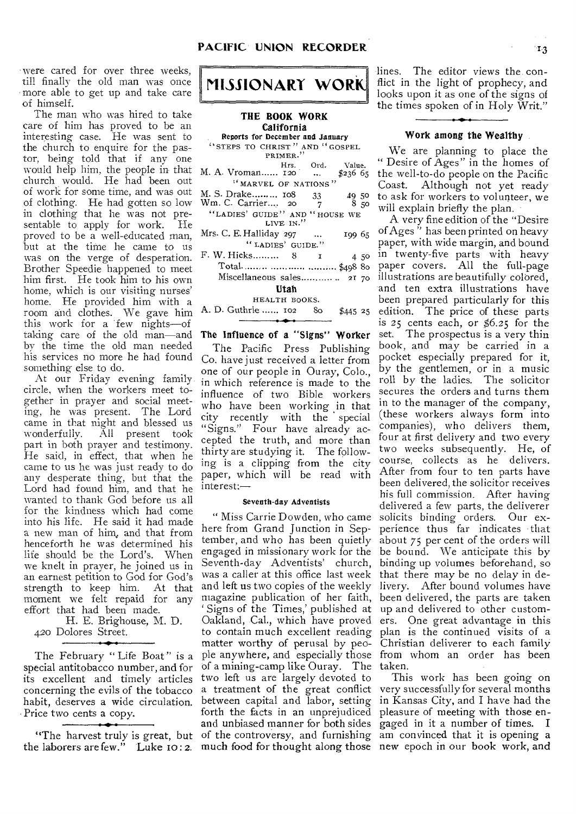were cared for over three weeks, till finally the old man was once more able to get up and take care of himself.

The man who was hired to take care of him has proved to be an interesting case. He was sent to the church to enquire for the pastor, being told that if any one would help him, the people in- that church would. He had been out of work for some time, and was out of clothing. He had gotten so low in clothing that he was not presentable to apply for work. He proved to be a well-educated man, but at the time he came to us was on the verge of desperation. Brother Speedie happened to meet him first. He took him to his own home, which is our visiting nurses' home. He provided him with a room and clothes. We gave him this work for a few nights—of taking care of the old man—and by the time the old man needed his services no more he had found something else to do.

At our Friday evening family circle, when the workers meet together in prayer and social meeting, he was present. The Lord came in that night and blessed us wonderfully. All present took part in both prayer and testimony. He said, in effect, that when he came to us he was just ready to do any desperate thing, but that the Lord had found him, and that he wanted to thank God before us all for the kindness which had come into his life. He said it had made a new man of him, and that from henceforth he was determined his life should be the Lord's. When we knelt in prayer, he joined us in an earnest petition to God for God's strength to keep him. At that moment we felt repaid for any effort that had been made.

H. E. Brighouse, M. D. 420 Dolores Street.

The February "Life Boat" is a special antitobacco number, and for its excellent and timely articles concerning the evils of the tobacco habit, deserves a wide circulation. Price two cents a copy.

 the laborers are few." Luke 10:2. much food for thought along those new epoch in our book work, and



#### THE BOOK WORK California Reports for December and January

|                               | ,<br>. .  |                                            |  |
|-------------------------------|-----------|--------------------------------------------|--|
| "STEPS TO CHRIST" AND "GOSPEL | PRIMER."  |                                            |  |
|                               |           | Value.                                     |  |
| Hrs. Ord.<br>M. A. Vroman 120 |           | \$23665                                    |  |
| "MARVEL OF NATIONS"           |           |                                            |  |
| M. S. Drake 108 33            |           |                                            |  |
| Wm. C. Carrier, 20 7          |           | $\begin{array}{r} 4950 \\ 850 \end{array}$ |  |
| "LADIES' GUIDE" AND "HOUSE WE | LIVE IN." |                                            |  |
| Mrs. C. E. Halliday 297       |           | 199 65                                     |  |
| "LADIES' GUIDE."              |           |                                            |  |
| F. W. Hicks 8 1               |           | 4 50                                       |  |
|                               |           |                                            |  |
| Miscellaneous sales 21 70     |           |                                            |  |
|                               | Utah      |                                            |  |
| HEALTH BOOKS.                 |           |                                            |  |
| A. D. Guthrie  102 80         |           | $$445$ 25                                  |  |
|                               |           |                                            |  |

The Influence of a "Signs" Worker The Pacific Press Publishing Co. have just received a letter from one of our people in Ouray, Colo., in which reference is made to the influence of two Bible workers who have been working in that city recently with the special "Signs." Four have already accepted the truth, and more than thirty are studying it. The following is a clipping from the city paper, which will be read with interest:—

#### Seventh-day Adventists

was a caller at this office last week that there may be no delay in deand left us two copies of the weekly magazine publication of her faith, 'Signs of the Times,' published at up and delivered to other customof a mining-camp like Ouray. The taken. two left us are largely devoted to a treatment of the great conflict between capital and labor, setting forth the facts in an unprejudiced pleasure of meeting with those en-

lines. The editor views the conflict in the light of prophecy, and looks upon it as one of the signs of the times spoken of in Holy Writ."

#### Work among the Wealthy

We are planning to place the " Desire of Ages" in the homes of the well-to-do people on the Pacific<br>Coast. Although not vet ready Although not yet ready to ask for workers to volunteer, we will explain briefly the plan.

" Miss Carrie Dowden, who came solicits binding orders. Our exhere from Grand Junction in Sep-perience thus far indicates -that tember, and who has been quietly about 75 per cent of the orders will engaged in missionary work for the be bound. We anticipate this by Seventh-day Adventists' church, binding up volumes beforehand, so Oakland, Cal., which have proved ers. One great advantage in this to contain much excellent reading plan is the continued visits of a matter worthy of perusal by peo-Christian deliverer to each family ple anywhere, and especially those from whom an order has been A very fine edition of the "Desire of Ages<sup>"</sup> has been printed on heavy paper, with wide margin, and bound in twenty-five parts with heavy paper covers. All the full-page illustrations are beautifully colored, and ten extra illustrations have been prepared particularly for this edition. The price of these parts is 25 cents each, or \$6.25 for the set. The prospectus is a very thin book, and may be carried in a pocket especially prepared for it, by the gentlemen, or in a music roll by the ladies. The solicitor secures the orders and turns them in to the manager of the company, (these workers always form into companies), who delivers them, four at first delivery and two every two weeks subsequently. He, of course, collects as he delivers. After from four to ten parts have been delivered, the solicitor receives his full commission. After having delivered a few parts, the deliverer livery. After bound volumes have been delivered, the parts are taken

"The harvest truly is great, but of the controversy, and furnishing am convinced that it is opening a and unbiased manner for both sides gaged in it a number of times. I This work has been going on very successfully for several months in Kansas City, and I have had the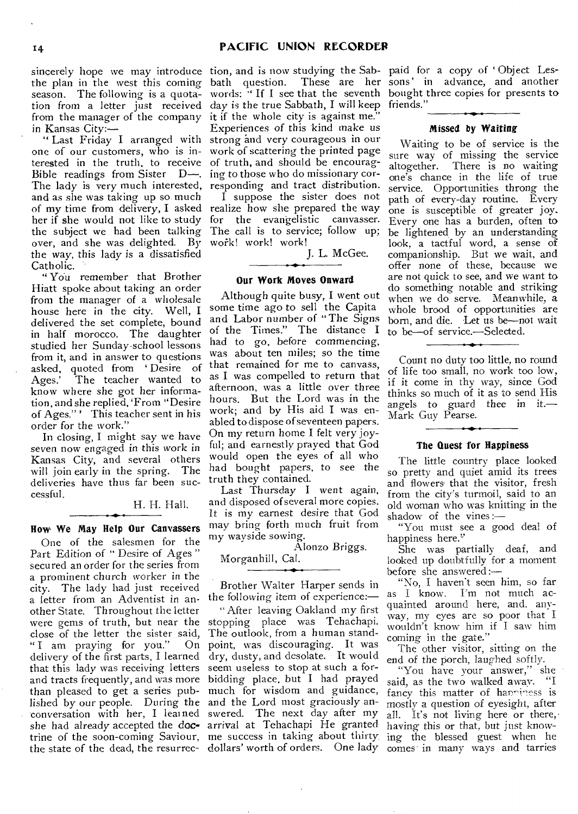season. The following is a quotation from a letter just received from the manager of the company in Kansas City:—

" Last Friday I arranged with one of our customers, who is interested in the truth, to receive Bible readings from Sister D—. ing to those who do missionary cor-The lady is very much interested, responding and tract distribution. and as she was taking up so much of my time from delivery, I asked realize how she prepared the way her if she would not like to study the subject we had been talking over, and she was delighted. By the way, this lady is a dissatisfied Catholic.

" Ydu remember that Brother Hiatt spoke about taking an order from the manager of a wholesale house here in the city. Well, I delivered the set complete, bound in half morocco. The daughter studied her Sunday-school lessons from it, and in answer to questions asked, quoted from 'Desire of Ages.' The teacher wanted to know where she got her information, and she replied, 'From "Desire of Ages." ' This teacher sent in his order for the work."

In closing, I might say we have seven now engaged in this work in Kansas City, and several others will join early in the spring. The deliveries have thus far been successful.

#### H. H. Hall.

### How- We May Help Our Canvassers

One of the salesmen for the Part Edition of " Desire of Ages" secured an order for the series from a prominent church worker in the city. The lady had just received a letter from an Adventist in another State. Throughout the letter were gems of truth, but near the close of the letter the sister said, " I am praying for you." On delivery of the first parts, I learned that this lady was receiving letters and tracts frequently, and was more than pleased to get a series published by our people. During the conversation with her, I leained she had already accepted the *doc-*arrival at Tehachapi He granted *trine* of the soon-coming Saviour, me success in taking about thirty, the state of the dead, the resurrec-dollars' worth of orders. One lady

the plan in the west this coming bath question. These are her sons' in advance, and another words: "If I see that the seventh bought three copies for presents to day is the true Sabbath, I will keep friends." it if the whole city is against me." Experiences of this kind make us strong and very courageous in our work of scattering the printed page of truth, and should be encourag-

> I suppose the sister does not the evangelistic canvasser. The call is to service; follow up; wofk! work! work!

> > J. L. McGee.

#### Our Work Moves Onward

Although quite busy, I went out some time ago to sell the Capita and Labor number of "The Signs of the Times." The distance I had to go, before commencing, was about ten miles; so the time that remained for me to canvass, as I was compelled to return that afternoon, was a little over three hours. But the Lord was in the work; and by His aid I was enabled to dispose of seventeen papers. On my return home I felt very joyful; and earnestly prayed that God would open the eyes of all who had bought papers, to see the truth they contained.

Last Thursday I went again, and disposed of several more copies. It is my earnest desire that God may bring forth much fruit from my wayside sowing.

## Alonzo Briggs.

## Morganhill, Cal.

Brother Walter Harper sends in the following item of experience:—

" After leaving Oakland my first stopping place was Tehachapi. The outlook, from a human standpoint, was discouraging. It was dry, dusty, and desolate. It would seem useless to stop at such a forbidding place, but I had prayed much for wisdom and guidance, and the Lord most graciously answered. The next day after my

sincerely hope we may introduce tion, and is now studying the Sab- paid for a copy of 'Object Les-

## Missed by Waiting

Waiting to be of service is the sure way of missing the service altogether. There is no waiting one's chance in the life of true service. Opportunities throng the path of every-day routine. Every one is susceptible of greater joy. Every one has a burden, often to be lightened by an understanding look, a tactful word, a sense of companionship. But we wait, and offer none of these, because we are not quick to see, and we want to do something notable and striking when we do serve. Meanwhile, *a*  whole brood of opportunities are born, and die. Let us be—not wait to be—of service.—Selected.

Count no duty too little, no round of life too small, no work too low, if it come in thy way, since God thinks so much of it as to send His *angels* to guard thee in it.— Mark Guy Pearse.

#### The Quest for Happiness

The little country place looked so pretty and quiet amid its trees and flowers- that the visitor, fresh from the city's turmoil, said to an old woman who was knitting in the shadow of the vines :—

"You must see a good deal of happiness here."

She was partially deaf, and looked up doubtfully for a moment before she answered :—

"No, I haven't seen him, so far as I know. I'm not much acquainted around here, and. anyway, my eyes are so poor that I wouldn't know him if I saw him coming in the gate."

The other visitor, sitting on the end of the porch, laughed softly.

"You have your answer," she said, as the two walked away. "I fancy this matter of hanniness is mostly a question of eyesight, after all. It's not living here or there, having this or that, but just knowing the blessed guest when he comes in many ways and tarries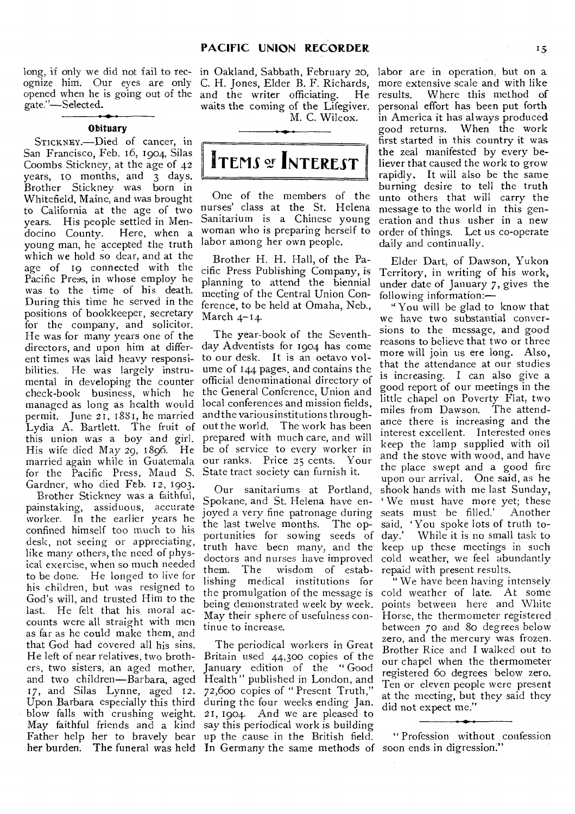long, if only we did not fail to rec- in Oakland, Sabbath, February 20, labor are in operation, but on a ognize him. Our eyes are only opened when he is going out of the and the writer officiating. He gate:"—Selected.

#### **Obituary**

STICKNEY.--Died of cancer, in San Francisco, Feb. 16, 1904, Silas Coombs Stickney, at the age of 42 years, io months, and 3 days. Brother Stickney was born in Whitefield, Maine, and was brought to California at the age of two years. His people settled in Mendocino County. Here, when a young man, he accepted the truth which we hold so dear, and at the age of 19 connected with the Pacific Press, in whose employ he was to the time of his death. During this time he served in the positions of bookkeeper, secretary for the company, and solicitor. He was for many years one of the directors, and upon him at different times was laid heavy responsibilities. He was largely instrumental in developing the counter check-book business, which he managed as long as health would local conferences and mission fields, permit. June 21, 1881, he married Lydia A. Bartlett. The fruit of this union was a boy and girl. His wife died May 29, 1896. He married again while in Guatemala for the Pacific Press, Maud S. State tract society can furnish it. Gardner, who died Feb. 12, 1903.

Brother Stickney was a faithful, painstaking, assiduous, accurate worker. In the earlier years he confined himself too much to his desk, not seeing or appreciating, like many others, the need of physical exercise, when so much needed to be done. He longed to live for his children, but was resigned to God's will, and trusted Him to the last. He felt that his moral accounts were all straight with men as far as he could make them, and that God had covered all his sins. He left of near relatives, two brothers, two sisters, an aged mother, and two children—Barbara, aged 17, and Silas Lynne, aged 12. Upon Barbara especially this third blow falls with crushing weight. 21, 1904. And we are pleased to May faithful friends and a kind say this periodical work is building Father help her to bravely bear up the cause in the British field. her burden. The funeral was held In Germany the same methods of soon ends in digression."

waits the coming of the Lifegiver. M. C. Wilcox.



One of the members of the nurses' class at the St. Helena Sanitarium is a Chinese young woman who is preparing herself to labor among her own people.

Brother H. H. Hall, of the Pacific Press Publishing Company, is planning to attend the biennial meeting of the Central Union Conference, to be held at Omaha, Neb., March  $4-14$ .

The year-book of the Seventhday Adventists for 1904 has come to our desk. It is an octavo volume of  $144$  pages, and contains the official denominational directory of the General Conference, Union and and the various institutions throughout the world. The work has been prepared with much care, and will be of service to every worker in our ranks. Price 25 cents. Your

Our sanitariums at Portland. Spokane, and St. Helena have enjoyed a very fine patronage during the last twelve months. The optruth have been many, and the doctors and nurses have improved<br>them. The wisdom of estabwisdom of establishing medical institutions for the promulgation of the message is being demonstrated week by week. May their sphere of usefulness continue to increase.

The periodical workers in Great Britain used 44,300 copies of the January edition of the "Good Health " published in London, and 72,600 copies of " Present Truth," during the four weeks ending Jan.

C. H. Jones, Elder B. F. Richards, more extensive scale and with like He results. Where this method of personal effort has been put forth in America it has always produced good returns. When the work first started in this country it was the zeal manifested by every believer that caused the work to grow rapidly. It will also be the same burning desire to tell the truth unto others that will carry the message to the world in this generation and thus usher in a new order of things. Let us co-operate daily and continually.

> Elder Dart, of Dawson, Yukon Territory, in writing of his work, under date of January 7, gives the following information:—

portunities for sowing seeds of day.' While it is no small task to "You will be glad to know that we have two substantial conversions to the message, and good reasons to believe that two or three more will join us ere long. Also, that the attendance at our studies is increasing. I can also give a good report of our meetings in the little chapel on Poverty Flat, two miles from Dawson. The attendance there is increasing and the interest excellent. Interested ones keep the lamp supplied with oil and the stove with wood, and have the place swept and a good fire upon our arrival. One said, as he shook hands with me last Sunday, ' We must have more yet; these seats must be filled.' Another said, 'You spoke lots of truth tokeep up these meetings in such cold weather, we feel abundantly repaid with present results.

" We have been having intensely cold weather of late. At some points between here and White Horse, the thermometer registered between 70 and 8o degrees below zero, and the mercury was frozen. Brother Rice and I walked out to our chapel when the thermometer registered 6o degrees below zero. Ten or eleven people were present at the meeting, but they said they did not expect me."

" Profession without confession